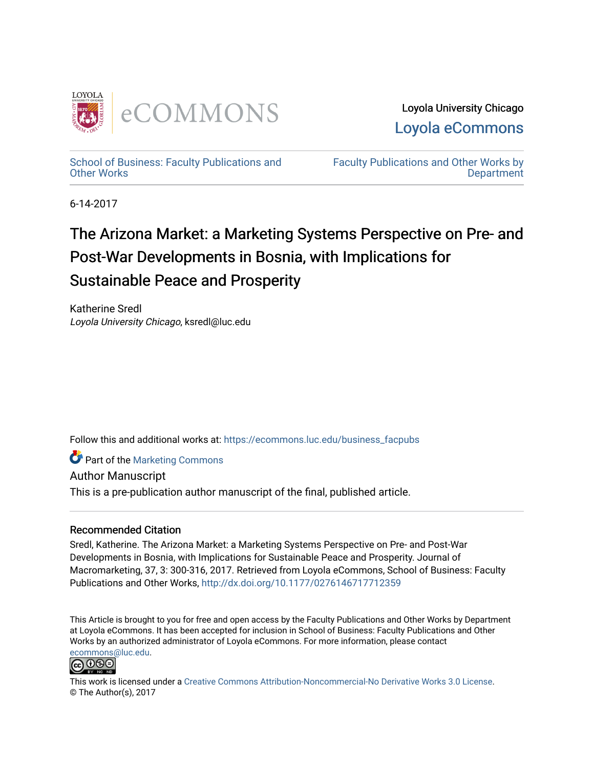

Loyola University Chicago [Loyola eCommons](https://ecommons.luc.edu/) 

[School of Business: Faculty Publications and](https://ecommons.luc.edu/business_facpubs) [Other Works](https://ecommons.luc.edu/business_facpubs)

[Faculty Publications and Other Works by](https://ecommons.luc.edu/faculty)  **Department** 

6-14-2017

# The Arizona Market: a Marketing Systems Perspective on Pre- and Post-War Developments in Bosnia, with Implications for Sustainable Peace and Prosperity

Katherine Sredl Loyola University Chicago, ksredl@luc.edu

Follow this and additional works at: [https://ecommons.luc.edu/business\\_facpubs](https://ecommons.luc.edu/business_facpubs?utm_source=ecommons.luc.edu%2Fbusiness_facpubs%2F219&utm_medium=PDF&utm_campaign=PDFCoverPages) 

**C** Part of the [Marketing Commons](http://network.bepress.com/hgg/discipline/638?utm_source=ecommons.luc.edu%2Fbusiness_facpubs%2F219&utm_medium=PDF&utm_campaign=PDFCoverPages)

Author Manuscript

This is a pre-publication author manuscript of the final, published article.

## Recommended Citation

Sredl, Katherine. The Arizona Market: a Marketing Systems Perspective on Pre- and Post-War Developments in Bosnia, with Implications for Sustainable Peace and Prosperity. Journal of Macromarketing, 37, 3: 300-316, 2017. Retrieved from Loyola eCommons, School of Business: Faculty Publications and Other Works, <http://dx.doi.org/10.1177/0276146717712359>

This Article is brought to you for free and open access by the Faculty Publications and Other Works by Department at Loyola eCommons. It has been accepted for inclusion in School of Business: Faculty Publications and Other Works by an authorized administrator of Loyola eCommons. For more information, please contact [ecommons@luc.edu](mailto:ecommons@luc.edu).



This work is licensed under a [Creative Commons Attribution-Noncommercial-No Derivative Works 3.0 License.](https://creativecommons.org/licenses/by-nc-nd/3.0/) © The Author(s), 2017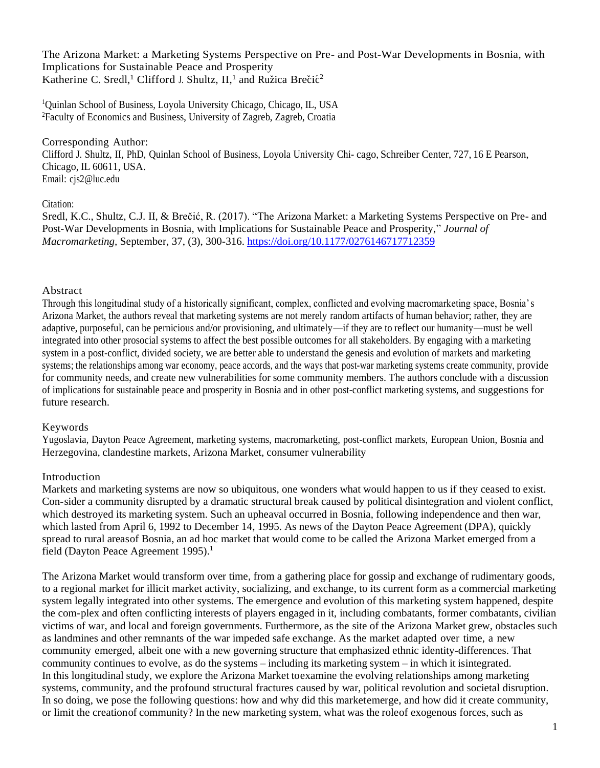The Arizona Market: a Marketing Systems Perspective on Pre- and Post-War Developments in Bosnia, with Implications for Sustainable Peace and Prosperity Katherine C. Sredl,<sup>1</sup> Clifford J. Shultz, II,<sup>1</sup> and Ružica Brečić<sup>2</sup>

<sup>1</sup>Quinlan School of Business, Loyola University Chicago, Chicago, IL, USA <sup>2</sup>Faculty of Economics and Business, University of Zagreb, Zagreb, Croatia

Corresponding Author: Clifford J. Shultz, II, PhD, Quinlan School of Business, Loyola University Chi- cago, Schreiber Center, 727, 16 E Pearson, Chicago, IL 60611, USA. Email: [cjs2@luc.edu](mailto:cjs2@luc.edu)

#### Citation:

Sredl, K.C., Shultz, C.J. II, & Brečić, R. (2017). "The Arizona Market: a Marketing Systems Perspective on Pre- and Post-War Developments in Bosnia, with Implications for Sustainable Peace and Prosperity," *Journal of Macromarketing,* September, 37, (3), 300-316. [https://doi.org/10.1177/0276146717712359](https://doi.org/10.1177%2F0276146717712359)

## Abstract

Through this longitudinal study of a historically significant, complex, conflicted and evolving macromarketing space, Bosnia's Arizona Market, the authors reveal that marketing systems are not merely random artifacts of human behavior; rather, they are adaptive, purposeful, can be pernicious and/or provisioning, and ultimately—if they are to reflect our humanity—must be well integrated into other prosocial systems to affect the best possible outcomes for all stakeholders. By engaging with a marketing system in a post-conflict, divided society, we are better able to understand the genesis and evolution of markets and marketing systems; the relationships among war economy, peace accords, and the ways that post-war marketing systems create community, provide for community needs, and create new vulnerabilities for some community members. The authors conclude with a discussion of implications for sustainable peace and prosperity in Bosnia and in other post-conflict marketing systems, and suggestions for future research.

#### Keywords

Yugoslavia, Dayton Peace Agreement, marketing systems, macromarketing, post-conflict markets, European Union, Bosnia and Herzegovina, clandestine markets, Arizona Market, consumer vulnerability

## Introduction

Markets and marketing systems are now so ubiquitous, one wonders what would happen to us if they ceased to exist. Con-sider a community disrupted by a dramatic structural break caused by political disintegration and violent conflict, which destroyed its marketing system. Such an upheaval occurred in Bosnia, following independence and then war, which lasted from April 6, 1992 to December 14, 1995. As news of the Dayton Peace Agreement (DPA), quickly spread to rural areasof Bosnia, an ad hoc market that would come to be called the Arizona Market emerged from a field (Dayton Peace Agreement 1995).<sup>1</sup>

The Arizona Market would transform over time, from a gathering place for gossip and exchange of rudimentary goods, to a regional market for illicit market activity, socializing, and exchange, to its current form as a commercial marketing system legally integrated into other systems. The emergence and evolution of this marketing system happened, despite the com-plex and often conflicting interests of players engaged in it, including combatants, former combatants, civilian victims of war, and local and foreign governments. Furthermore, as the site of the Arizona Market grew, obstacles such as landmines and other remnants of the war impeded safe exchange. As the market adapted over time, a new community emerged, albeit one with a new governing structure that emphasized ethnic identity-differences. That community continues to evolve, as do the systems – including its marketing system – in which it isintegrated. In this longitudinal study, we explore the Arizona Market toexamine the evolving relationships among marketing systems, community, and the profound structural fractures caused by war, political revolution and societal disruption. In so doing, we pose the following questions: how and why did this marketemerge, and how did it create community, or limit the creationof community? In the new marketing system, what was the roleof exogenous forces, such as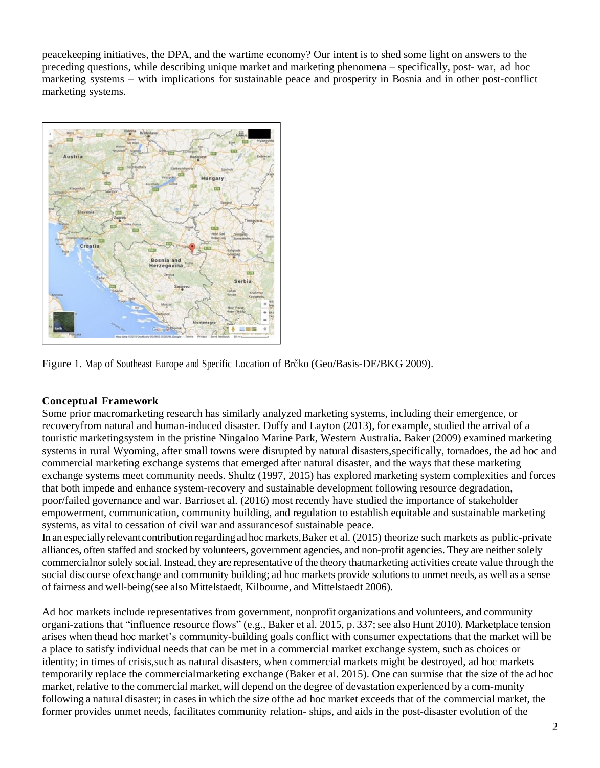peacekeeping initiatives, the DPA, and the wartime economy? Our intent is to shed some light on answers to the preceding questions, while describing unique market and marketing phenomena – specifically, post- war, ad hoc marketing systems – with implications for sustainable peace and prosperity in Bosnia and in other post-conflict marketing systems.



Figure 1. Map of Southeast Europe and Specific Location of Brc̆ko (Geo/Basis-DE/BKG 2009).

# **Conceptual Framework**

Some prior macromarketing research has similarly analyzed marketing systems, including their emergence, or recoveryfrom natural and human-induced disaster. Duffy and Layton (2013), for example, studied the arrival of a touristic marketingsystem in the pristine Ningaloo Marine Park, Western Australia. Baker (2009) examined marketing systems in rural Wyoming, after small towns were disrupted by natural disasters,specifically, tornadoes, the ad hoc and commercial marketing exchange systems that emerged after natural disaster, and the ways that these marketing exchange systems meet community needs. Shultz (1997, 2015) has explored marketing system complexities and forces that both impede and enhance system-recovery and sustainable development following resource degradation, poor/failed governance and war. Barrioset al. (2016) most recently have studied the importance of stakeholder empowerment, communication, community building, and regulation to establish equitable and sustainable marketing systems, as vital to cessation of civil war and assurancesof sustainable peace.

In an especially relevant contribution regarding ad hoc markets, Baker et al. (2015) theorize such markets as public-private alliances, often staffed and stocked by volunteers, government agencies, and non-profit agencies. They are neither solely commercialnor solely social. Instead, they are representative of the theory thatmarketing activities create value through the social discourse of exchange and community building; ad hoc markets provide solutions to unmet needs, as well as a sense of fairness and well-being(see also Mittelstaedt, Kilbourne, and Mittelstaedt 2006).

Ad hoc markets include representatives from government, nonprofit organizations and volunteers, and community organi-zations that "influence resource flows" (e.g., Baker et al. 2015, p. 337; see also Hunt 2010). Marketplace tension arises when thead hoc market's community-building goals conflict with consumer expectations that the market will be a place to satisfy individual needs that can be met in a commercial market exchange system, such as choices or identity; in times of crisis,such as natural disasters, when commercial markets might be destroyed, ad hoc markets temporarily replace the commercialmarketing exchange (Baker et al. 2015). One can surmise that the size of the ad hoc market, relative to the commercial market,will depend on the degree of devastation experienced by a com-munity following a natural disaster; in cases in which the size ofthe ad hoc market exceeds that of the commercial market, the former provides unmet needs, facilitates community relation- ships, and aids in the post-disaster evolution of the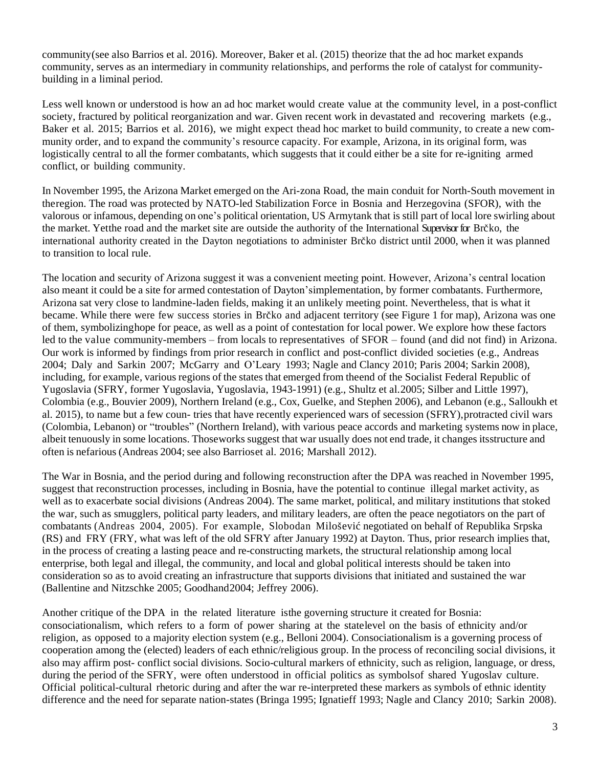community(see also Barrios et al. 2016). Moreover, Baker et al. (2015) theorize that the ad hoc market expands community, serves as an intermediary in community relationships, and performs the role of catalyst for communitybuilding in a liminal period.

Less well known or understood is how an ad hoc market would create value at the community level, in a post-conflict society, fractured by political reorganization and war. Given recent work in devastated and recovering markets (e.g., Baker et al. 2015; Barrios et al. 2016), we might expect thead hoc market to build community, to create a new community order, and to expand the community's resource capacity. For example, Arizona, in its original form, was logistically central to all the former combatants, which suggests that it could either be a site for re-igniting armed conflict, or building community.

In November 1995, the Arizona Market emerged on the Ari-zona Road, the main conduit for North-South movement in theregion. The road was protected by NATO-led Stabilization Force in Bosnia and Herzegovina (SFOR), with the valorous or infamous, depending on one's political orientation, US Armytank that is still part of local lore swirling about the market. Yetthe road and the market site are outside the authority of the International Supervisor for Brc<sup>\*ko</sup>, the international authority created in the Dayton negotiations to administer Brc<sup>\*ko</sup> district until 2000, when it was planned to transition to local rule.

The location and security of Arizona suggest it was a convenient meeting point. However, Arizona's central location also meant it could be a site for armed contestation of Dayton'simplementation, by former combatants. Furthermore, Arizona sat very close to landmine-laden fields, making it an unlikely meeting point. Nevertheless, that is what it became. While there were few success stories in Brčko and adjacent territory (see Figure 1 for map), Arizona was one of them, symbolizinghope for peace, as well as a point of contestation for local power. We explore how these factors led to the value community-members – from locals to representatives of SFOR – found (and did not find) in Arizona. Our work is informed by findings from prior research in conflict and post-conflict divided societies (e.g., Andreas 2004; Daly and Sarkin 2007; McGarry and O'Leary 1993; Nagle and Clancy 2010; Paris 2004; Sarkin 2008), including, for example, various regions of the states that emerged from theend of the Socialist Federal Republic of Yugoslavia (SFRY, former Yugoslavia, Yugoslavia, 1943-1991) (e.g., Shultz et al.2005; Silber and Little 1997), Colombia (e.g., Bouvier 2009), Northern Ireland (e.g., Cox, Guelke, and Stephen 2006), and Lebanon (e.g., Salloukh et al. 2015), to name but a few coun- tries that have recently experienced wars of secession (SFRY),protracted civil wars (Colombia, Lebanon) or "troubles" (Northern Ireland), with various peace accords and marketing systems now in place, albeit tenuously in some locations. Thoseworks suggest that war usually does not end trade, it changes itsstructure and often is nefarious (Andreas 2004; see also Barrioset al. 2016; Marshall 2012).

The War in Bosnia, and the period during and following reconstruction after the DPA was reached in November 1995, suggest that reconstruction processes, including in Bosnia, have the potential to continue illegal market activity, as well as to exacerbate social divisions (Andreas 2004). The same market, political, and military institutions that stoked the war, such as smugglers, political party leaders, and military leaders, are often the peace negotiators on the part of combatants (Andreas 2004, 2005). For example, Slobodan Milošević negotiated on behalf of Republika Srpska (RS) and FRY (FRY, what was left of the old SFRY after January 1992) at Dayton. Thus, prior research implies that, in the process of creating a lasting peace and re-constructing markets, the structural relationship among local enterprise, both legal and illegal, the community, and local and global political interests should be taken into consideration so as to avoid creating an infrastructure that supports divisions that initiated and sustained the war (Ballentine and Nitzschke 2005; Goodhand2004; Jeffrey 2006).

Another critique of the DPA in the related literature isthe governing structure it created for Bosnia: consociationalism, which refers to a form of power sharing at the statelevel on the basis of ethnicity and/or religion, as opposed to a majority election system (e.g., Belloni 2004). Consociationalism is a governing process of cooperation among the (elected) leaders of each ethnic/religious group. In the process of reconciling social divisions, it also may affirm post- conflict social divisions. Socio-cultural markers of ethnicity, such as religion, language, or dress, during the period of the SFRY, were often understood in official politics as symbolsof shared Yugoslav culture. Official political-cultural rhetoric during and after the war re-interpreted these markers as symbols of ethnic identity difference and the need for separate nation-states (Bringa 1995; Ignatieff 1993; Nagle and Clancy 2010; Sarkin 2008).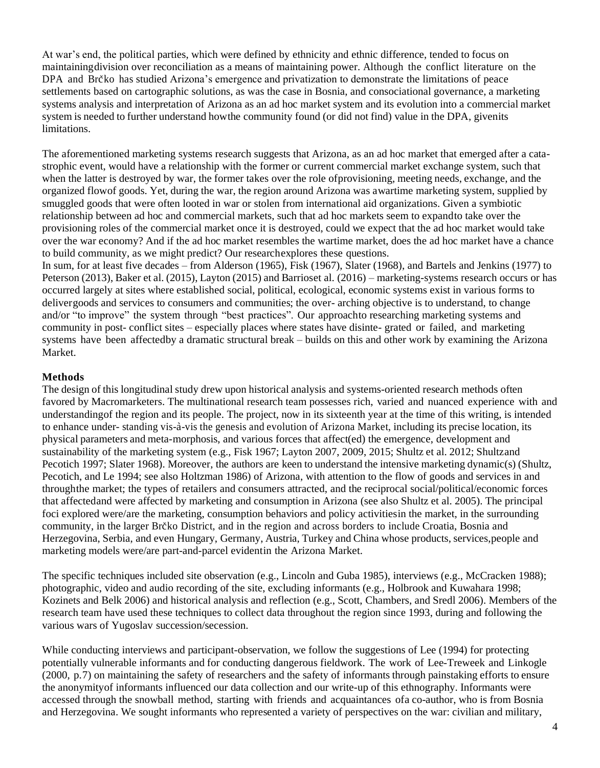At war's end, the political parties, which were defined by ethnicity and ethnic difference, tended to focus on maintainingdivision over reconciliation as a means of maintaining power. Although the conflict literature on the DPA and Brc<sup>\*</sup>ko has studied Arizona's emergence and privatization to demonstrate the limitations of peace settlements based on cartographic solutions, as was the case in Bosnia, and consociational governance, a marketing systems analysis and interpretation of Arizona as an ad hoc market system and its evolution into a commercial market system is needed to further understand howthe community found (or did not find) value in the DPA, givenits limitations.

The aforementioned marketing systems research suggests that Arizona, as an ad hoc market that emerged after a catastrophic event, would have a relationship with the former or current commercial market exchange system, such that when the latter is destroyed by war, the former takes over the role ofprovisioning, meeting needs, exchange, and the organized flowof goods. Yet, during the war, the region around Arizona was awartime marketing system, supplied by smuggled goods that were often looted in war or stolen from international aid organizations. Given a symbiotic relationship between ad hoc and commercial markets, such that ad hoc markets seem to expandto take over the provisioning roles of the commercial market once it is destroyed, could we expect that the ad hoc market would take over the war economy? And if the ad hoc market resembles the wartime market, does the ad hoc market have a chance to build community, as we might predict? Our researchexplores these questions.

In sum, for at least five decades – from Alderson (1965), Fisk (1967), Slater (1968), and Bartels and Jenkins (1977) to Peterson (2013), Baker et al. (2015), Layton (2015) and Barrioset al. (2016) – marketing-systems research occurs or has occurred largely at sites where established social, political, ecological, economic systems exist in various forms to delivergoods and services to consumers and communities; the over- arching objective is to understand, to change and/or "to improve" the system through "best practices". Our approachto researching marketing systems and community in post- conflict sites – especially places where states have disinte- grated or failed, and marketing systems have been affectedby a dramatic structural break – builds on this and other work by examining the Arizona Market.

# **Methods**

The design of this longitudinal study drew upon historical analysis and systems-oriented research methods often favored by Macromarketers. The multinational research team possesses rich, varied and nuanced experience with and understandingof the region and its people. The project, now in its sixteenth year at the time of this writing, is intended to enhance under- standing vis-a`-vis the genesis and evolution of Arizona Market, including its precise location, its physical parameters and meta-morphosis, and various forces that affect(ed) the emergence, development and sustainability of the marketing system (e.g., Fisk 1967; Layton 2007, 2009, 2015; Shultz et al. 2012; Shultzand Pecotich 1997; Slater 1968). Moreover, the authors are keen to understand the intensive marketing dynamic(s) (Shultz, Pecotich, and Le 1994; see also Holtzman 1986) of Arizona, with attention to the flow of goods and services in and throughthe market; the types of retailers and consumers attracted, and the reciprocal social/political/economic forces that affectedand were affected by marketing and consumption in Arizona (see also Shultz et al. 2005). The principal foci explored were/are the marketing, consumption behaviors and policy activitiesin the market, in the surrounding community, in the larger Brc<sup>\*ko</sup> District, and in the region and across borders to include Croatia, Bosnia and Herzegovina, Serbia, and even Hungary, Germany, Austria, Turkey and China whose products, services,people and marketing models were/are part-and-parcel evidentin the Arizona Market.

The specific techniques included site observation (e.g., Lincoln and Guba 1985), interviews (e.g., McCracken 1988); photographic, video and audio recording of the site, excluding informants (e.g., Holbrook and Kuwahara 1998; Kozinets and Belk 2006) and historical analysis and reflection (e.g., Scott, Chambers, and Sredl 2006). Members of the research team have used these techniques to collect data throughout the region since 1993, during and following the various wars of Yugoslav succession/secession.

While conducting interviews and participant-observation, we follow the suggestions of Lee (1994) for protecting potentially vulnerable informants and for conducting dangerous fieldwork. The work of Lee-Treweek and Linkogle (2000, p.7) on maintaining the safety of researchers and the safety of informants through painstaking efforts to ensure the anonymityof informants influenced our data collection and our write-up of this ethnography. Informants were accessed through the snowball method, starting with friends and acquaintances ofa co-author, who is from Bosnia and Herzegovina. We sought informants who represented a variety of perspectives on the war: civilian and military,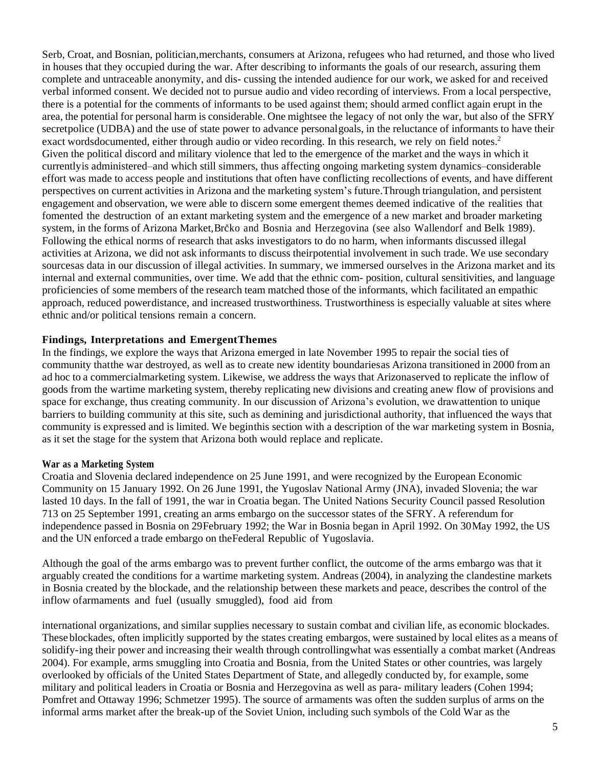Serb, Croat, and Bosnian, politician,merchants, consumers at Arizona, refugees who had returned, and those who lived in houses that they occupied during the war. After describing to informants the goals of our research, assuring them complete and untraceable anonymity, and dis- cussing the intended audience for our work, we asked for and received verbal informed consent. We decided not to pursue audio and video recording of interviews. From a local perspective, there is a potential for the comments of informants to be used against them; should armed conflict again erupt in the area, the potential for personal harm is considerable. One mightsee the legacy of not only the war, but also of the SFRY secretpolice (UDBA) and the use of state power to advance personalgoals, in the reluctance of informants to have their exact wordsdocumented, either through audio or video recording. In this research, we rely on field notes.<sup>2</sup> Given the political discord and military violence that led to the emergence of the market and the ways in which it currentlyis administered–and which still simmers, thus affecting ongoing marketing system dynamics–considerable effort was made to access people and institutions that often have conflicting recollections of events, and have different perspectives on current activities in Arizona and the marketing system's future.Through triangulation, and persistent engagement and observation, we were able to discern some emergent themes deemed indicative of the realities that fomented the destruction of an extant marketing system and the emergence of a new market and broader marketing system, in the forms of Arizona Market, Brčko and Bosnia and Herzegovina (see also Wallendorf and Belk 1989). Following the ethical norms of research that asks investigators to do no harm, when informants discussed illegal activities at Arizona, we did not ask informants to discuss theirpotential involvement in such trade. We use secondary sourcesas data in our discussion of illegal activities. In summary, we immersed ourselves in the Arizona market and its internal and external communities, over time. We add that the ethnic com- position, cultural sensitivities, and language proficiencies of some members of the research team matched those of the informants, which facilitated an empathic approach, reduced powerdistance, and increased trustworthiness. Trustworthiness is especially valuable at sites where ethnic and/or political tensions remain a concern.

#### **Findings, Interpretations and EmergentThemes**

In the findings, we explore the ways that Arizona emerged in late November 1995 to repair the social ties of community thatthe war destroyed, as well as to create new identity boundariesas Arizona transitioned in 2000 from an ad hoc to a commercialmarketing system. Likewise, we address the ways that Arizonaserved to replicate the inflow of goods from the wartime marketing system, thereby replicating new divisions and creating anew flow of provisions and space for exchange, thus creating community. In our discussion of Arizona's evolution, we drawattention to unique barriers to building community at this site, such as demining and jurisdictional authority, that influenced the ways that community is expressed and is limited. We beginthis section with a description of the war marketing system in Bosnia, as it set the stage for the system that Arizona both would replace and replicate.

#### **War as a Marketing System**

Croatia and Slovenia declared independence on 25 June 1991, and were recognized by the European Economic Community on 15 January 1992. On 26 June 1991, the Yugoslav National Army (JNA), invaded Slovenia; the war lasted 10 days. In the fall of 1991, the war in Croatia began. The United Nations Security Council passed Resolution 713 on 25 September 1991, creating an arms embargo on the successor states of the SFRY. A referendum for independence passed in Bosnia on 29February 1992; the War in Bosnia began in April 1992. On 30May 1992, the US and the UN enforced a trade embargo on theFederal Republic of Yugoslavia.

Although the goal of the arms embargo was to prevent further conflict, the outcome of the arms embargo was that it arguably created the conditions for a wartime marketing system. Andreas (2004), in analyzing the clandestine markets in Bosnia created by the blockade, and the relationship between these markets and peace, describes the control of the inflow ofarmaments and fuel (usually smuggled), food aid from

international organizations, and similar supplies necessary to sustain combat and civilian life, as economic blockades. Theseblockades, often implicitly supported by the states creating embargos, were sustained by local elites as a means of solidify-ing their power and increasing their wealth through controllingwhat was essentially a combat market (Andreas 2004). For example, arms smuggling into Croatia and Bosnia, from the United States or other countries, was largely overlooked by officials of the United States Department of State, and allegedly conducted by, for example, some military and political leaders in Croatia or Bosnia and Herzegovina as well as para- military leaders (Cohen 1994; Pomfret and Ottaway 1996; Schmetzer 1995). The source of armaments was often the sudden surplus of arms on the informal arms market after the break-up of the Soviet Union, including such symbols of the Cold War as the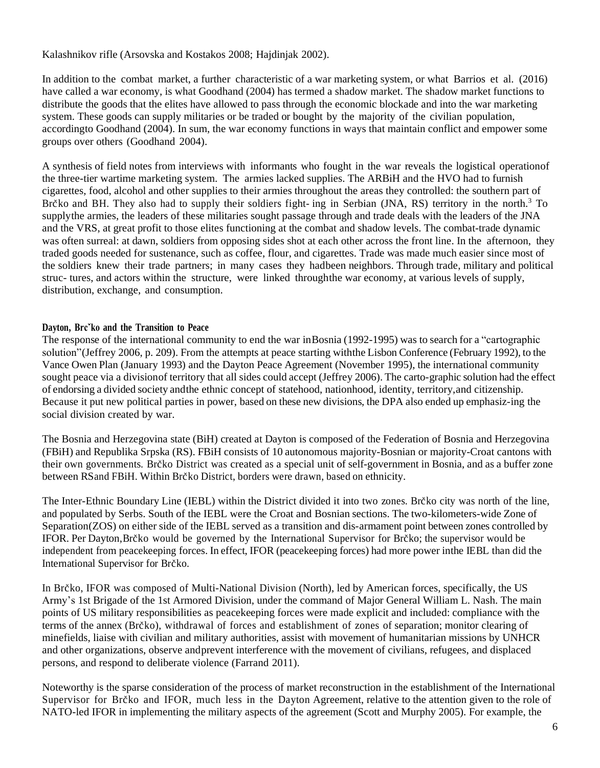Kalashnikov rifle (Arsovska and Kostakos 2008; Hajdinjak 2002).

In addition to the combat market, a further characteristic of a war marketing system, or what Barrios et al. (2016) have called a war economy, is what Goodhand (2004) has termed a shadow market. The shadow market functions to distribute the goods that the elites have allowed to pass through the economic blockade and into the war marketing system. These goods can supply militaries or be traded or bought by the majority of the civilian population, accordingto Goodhand (2004). In sum, the war economy functions in ways that maintain conflict and empower some groups over others (Goodhand 2004).

A synthesis of field notes from interviews with informants who fought in the war reveals the logistical operationof the three-tier wartime marketing system. The armies lacked supplies. The ARBiH and the HVO had to furnish cigarettes, food, alcohol and other supplies to their armies throughout the areas they controlled: the southern part of Brc<sup>\*</sup>ko and BH. They also had to supply their soldiers fight- ing in Serbian (JNA, RS) territory in the north.<sup>3</sup> To supplythe armies, the leaders of these militaries sought passage through and trade deals with the leaders of the JNA and the VRS, at great profit to those elites functioning at the combat and shadow levels. The combat-trade dynamic was often surreal: at dawn, soldiers from opposing sides shot at each other across the front line. In the afternoon, they traded goods needed for sustenance, such as coffee, flour, and cigarettes. Trade was made much easier since most of the soldiers knew their trade partners; in many cases they hadbeen neighbors. Through trade, military and political struc- tures, and actors within the structure, were linked throughthe war economy, at various levels of supply, distribution, exchange, and consumption.

# **Dayton, Brcˇko and the Transition to Peace**

The response of the international community to end the war inBosnia (1992-1995) was to search for a "cartographic solution"(Jeffrey 2006, p. 209). From the attempts at peace starting withthe Lisbon Conference (February 1992), to the Vance Owen Plan (January 1993) and the Dayton Peace Agreement (November 1995), the international community sought peace via a divisionof territory that all sides could accept (Jeffrey 2006). The carto-graphic solution had the effect of endorsing a divided society andthe ethnic concept of statehood, nationhood, identity, territory,and citizenship. Because it put new political parties in power, based on these new divisions, the DPA also ended up emphasiz-ing the social division created by war.

The Bosnia and Herzegovina state (BiH) created at Dayton is composed of the Federation of Bosnia and Herzegovina (FBiH) and Republika Srpska (RS). FBiH consists of 10 autonomous majority-Bosnian or majority-Croat cantons with their own governments. Brc̆ko District was created as a special unit of self-government in Bosnia, and as a buffer zone between RSand FBiH. Within Brčko District, borders were drawn, based on ethnicity.

The Inter-Ethnic Boundary Line (IEBL) within the District divided it into two zones. Brčko city was north of the line, and populated by Serbs. South of the IEBL were the Croat and Bosnian sections. The two-kilometers-wide Zone of Separation(ZOS) on either side of the IEBL served as a transition and dis-armament point between zones controlled by IFOR. Per Dayton, Brčko would be governed by the International Supervisor for Brčko; the supervisor would be independent from peacekeeping forces. In effect, IFOR (peacekeeping forces) had more power inthe IEBL than did the International Supervisor for Brčko.

In Brčko, IFOR was composed of Multi-National Division (North), led by American forces, specifically, the US Army's 1st Brigade of the 1st Armored Division, under the command of Major General William L. Nash. The main points of US military responsibilities as peacekeeping forces were made explicit and included: compliance with the terms of the annex (Brčko), withdrawal of forces and establishment of zones of separation; monitor clearing of minefields, liaise with civilian and military authorities, assist with movement of humanitarian missions by UNHCR and other organizations, observe andprevent interference with the movement of civilians, refugees, and displaced persons, and respond to deliberate violence (Farrand 2011).

Noteworthy is the sparse consideration of the process of market reconstruction in the establishment of the International Supervisor for Brčko and IFOR, much less in the Dayton Agreement, relative to the attention given to the role of NATO-led IFOR in implementing the military aspects of the agreement (Scott and Murphy 2005). For example, the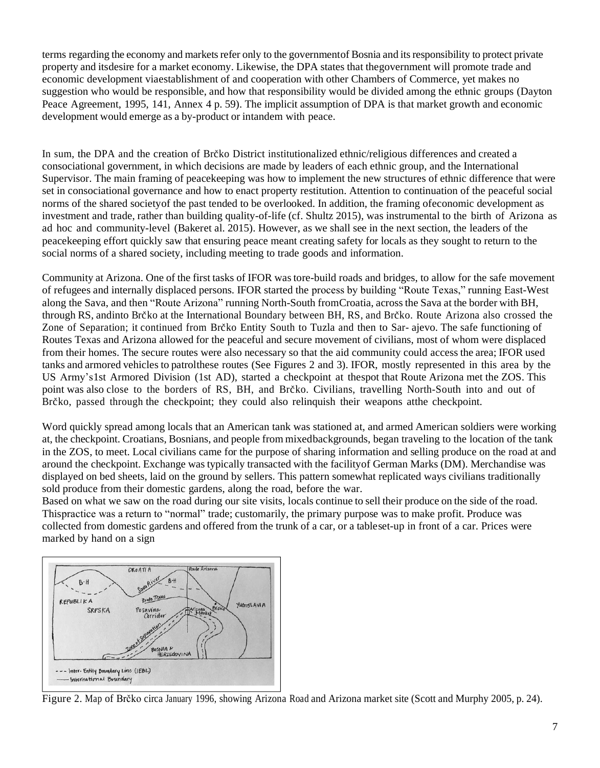terms regarding the economy and markets refer only to the government of Bosnia and its responsibility to protect private property and itsdesire for a market economy. Likewise, the DPA states that thegovernment will promote trade and economic development viaestablishment of and cooperation with other Chambers of Commerce, yet makes no suggestion who would be responsible, and how that responsibility would be divided among the ethnic groups (Dayton Peace Agreement, 1995, 141, Annex 4 p. 59). The implicit assumption of DPA is that market growth and economic development would emerge as a by-product or intandem with peace.

In sum, the DPA and the creation of Brc<sup>\*ko</sup> District institutionalized ethnic/religious differences and created a consociational government, in which decisions are made by leaders of each ethnic group, and the International Supervisor. The main framing of peacekeeping was how to implement the new structures of ethnic difference that were set in consociational governance and how to enact property restitution. Attention to continuation of the peaceful social norms of the shared societyof the past tended to be overlooked. In addition, the framing ofeconomic development as investment and trade, rather than building quality-of-life (cf. Shultz 2015), was instrumental to the birth of Arizona as ad hoc and community-level (Bakeret al. 2015). However, as we shall see in the next section, the leaders of the peacekeeping effort quickly saw that ensuring peace meant creating safety for locals as they sought to return to the social norms of a shared society, including meeting to trade goods and information.

Community at Arizona. One of the first tasks of IFOR wastore-build roads and bridges, to allow for the safe movement of refugees and internally displaced persons. IFOR started the process by building "Route Texas," running East-West along the Sava, and then "Route Arizona" running North-South fromCroatia, across the Sava at the border with BH, through RS, andinto Brčko at the International Boundary between BH, RS, and Brčko. Route Arizona also crossed the Zone of Separation; it continued from Brc̆ko Entity South to Tuzla and then to Sar- ajevo. The safe functioning of Routes Texas and Arizona allowed for the peaceful and secure movement of civilians, most of whom were displaced from their homes. The secure routes were also necessary so that the aid community could access the area; IFOR used tanks and armored vehicles to patrolthese routes (See Figures 2 and 3). IFOR, mostly represented in this area by the US Army's1st Armored Division (1st AD), started a checkpoint at thespot that Route Arizona met the ZOS. This point was also close to the borders of RS, BH, and Brčko. Civilians, travelling North-South into and out of Brčko, passed through the checkpoint; they could also relinquish their weapons atthe checkpoint.

Word quickly spread among locals that an American tank was stationed at, and armed American soldiers were working at, the checkpoint. Croatians, Bosnians, and people from mixedbackgrounds, began traveling to the location of the tank in the ZOS, to meet. Local civilians came for the purpose of sharing information and selling produce on the road at and around the checkpoint. Exchange was typically transacted with the facilityof German Marks (DM). Merchandise was displayed on bed sheets, laid on the ground by sellers. This pattern somewhat replicated ways civilians traditionally sold produce from their domestic gardens, along the road, before the war.

Based on what we saw on the road during our site visits, locals continue to sell their produce on the side of the road. Thispractice was a return to "normal" trade; customarily, the primary purpose was to make profit. Produce was collected from domestic gardens and offered from the trunk of a car, or a tableset-up in front of a car. Prices were marked by hand on a sign



Figure 2. Map of Brčko circa January 1996, showing Arizona Road and Arizona market site (Scott and Murphy 2005, p. 24).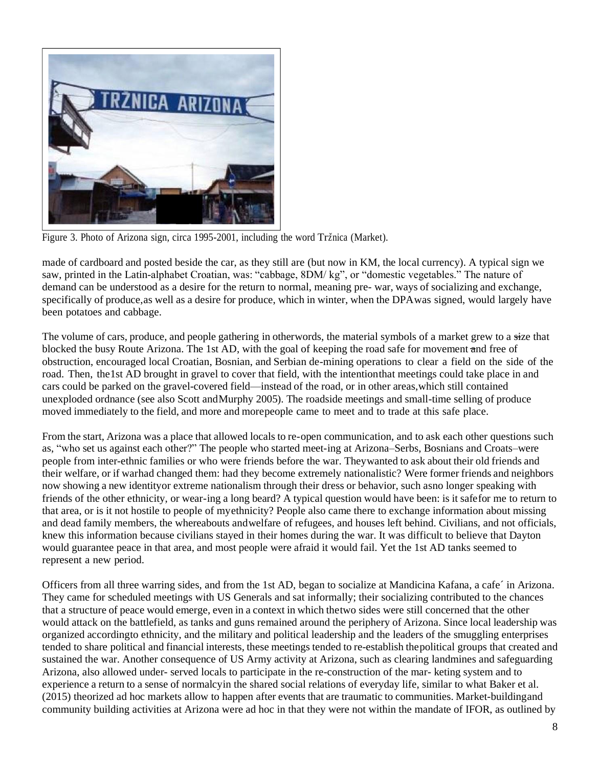

Figure 3. Photo of Arizona sign, circa 1995-2001, including the word Tržnica (Market).

made of cardboard and posted beside the car, as they still are (but now in KM, the local currency). A typical sign we saw, printed in the Latin-alphabet Croatian, was: "cabbage, 8DM/ kg", or "domestic vegetables." The nature of demand can be understood as a desire for the return to normal, meaning pre- war, ways of socializing and exchange, specifically of produce,as well as a desire for produce, which in winter, when the DPAwas signed, would largely have been potatoes and cabbage.

The volume of cars, produce, and people gathering in otherwords, the material symbols of a market grew to a <del>si</del><br>blocked the busy Route Arizona. The 1st AD, with the goal of keeping the road safe for movement <del>a</del>nd free of The volume of cars, produce, and people gathering in otherwords, the material symbols of a market grew to a size that obstruction, encouraged local Croatian, Bosnian, and Serbian de-mining operations to clear a field on the side of the road. Then, the1st AD brought in gravel to cover that field, with the intentionthat meetings could take place in and cars could be parked on the gravel-covered field—instead of the road, or in other areas,which still contained unexploded ordnance (see also Scott andMurphy 2005). The roadside meetings and small-time selling of produce moved immediately to the field, and more and morepeople came to meet and to trade at this safe place.

From the start, Arizona was a place that allowed locals to re-open communication, and to ask each other questions such as, "who set us against each other?" The people who started meet-ing at Arizona–Serbs, Bosnians and Croats–were people from inter-ethnic families or who were friends before the war. Theywanted to ask about their old friends and their welfare, or if warhad changed them: had they become extremely nationalistic? Were former friends and neighbors now showing a new identityor extreme nationalism through their dress or behavior, such asno longer speaking with friends of the other ethnicity, or wear-ing a long beard? A typical question would have been: is it safefor me to return to that area, or is it not hostile to people of myethnicity? People also came there to exchange information about missing and dead family members, the whereabouts andwelfare of refugees, and houses left behind. Civilians, and not officials, knew this information because civilians stayed in their homes during the war. It was difficult to believe that Dayton would guarantee peace in that area, and most people were afraid it would fail. Yet the 1st AD tanks seemed to represent a new period.

Officers from all three warring sides, and from the 1st AD, began to socialize at Mandicina Kafana, a cafe´ in Arizona. They came for scheduled meetings with US Generals and sat informally; their socializing contributed to the chances that a structure of peace would emerge, even in a context in which thetwo sides were still concerned that the other would attack on the battlefield, as tanks and guns remained around the periphery of Arizona. Since local leadership was organized accordingto ethnicity, and the military and political leadership and the leaders of the smuggling enterprises tended to share political and financial interests, these meetings tended to re-establish thepolitical groups that created and sustained the war. Another consequence of US Army activity at Arizona, such as clearing landmines and safeguarding Arizona, also allowed under- served locals to participate in the re-construction of the mar- keting system and to experience a return to a sense of normalcyin the shared social relations of everyday life, similar to what Baker et al. (2015) theorized ad hoc markets allow to happen after events that are traumatic to communities. Market-buildingand community building activities at Arizona were ad hoc in that they were not within the mandate of IFOR, as outlined by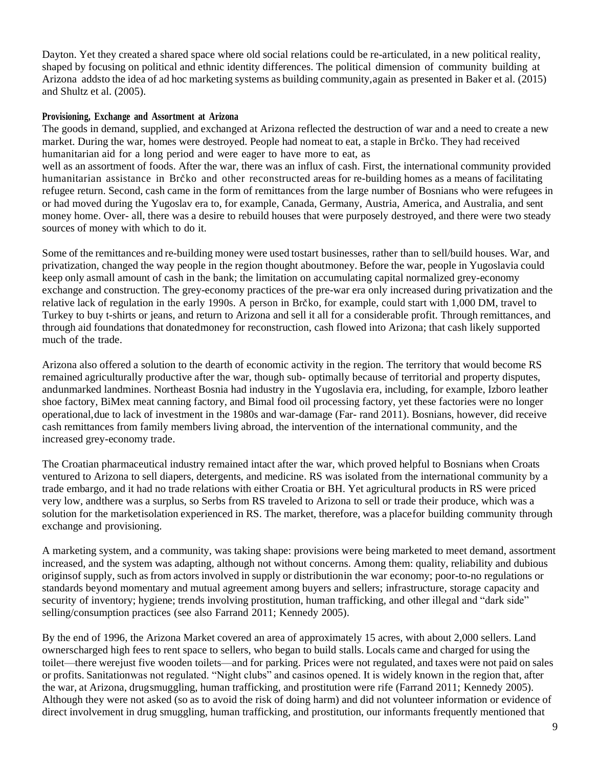Dayton. Yet they created a shared space where old social relations could be re-articulated, in a new political reality, shaped by focusing on political and ethnic identity differences. The political dimension of community building at Arizona addsto the idea of ad hoc marketing systems as building community,again as presented in Baker et al. (2015) and Shultz et al. (2005).

## **Provisioning, Exchange and Assortment at Arizona**

The goods in demand, supplied, and exchanged at Arizona reflected the destruction of war and a need to create a new market. During the war, homes were destroyed. People had nomeat to eat, a staple in Brčko. They had received humanitarian aid for a long period and were eager to have more to eat, as well as an assortment of foods. After the war, there was an influx of cash. First, the international community provided humanitarian assistance in Brčko and other reconstructed areas for re-building homes as a means of facilitating refugee return. Second, cash came in the form of remittances from the large number of Bosnians who were refugees in or had moved during the Yugoslav era to, for example, Canada, Germany, Austria, America, and Australia, and sent money home. Over- all, there was a desire to rebuild houses that were purposely destroyed, and there were two steady sources of money with which to do it.

Some of the remittances and re-building money were used tostart businesses, rather than to sell/build houses. War, and privatization, changed the way people in the region thought aboutmoney. Before the war, people in Yugoslavia could keep only asmall amount of cash in the bank; the limitation on accumulating capital normalized grey-economy exchange and construction. The grey-economy practices of the pre-war era only increased during privatization and the relative lack of regulation in the early 1990s. A person in Brčko, for example, could start with 1,000 DM, travel to Turkey to buy t-shirts or jeans, and return to Arizona and sell it all for a considerable profit. Through remittances, and through aid foundations that donatedmoney for reconstruction, cash flowed into Arizona; that cash likely supported much of the trade.

Arizona also offered a solution to the dearth of economic activity in the region. The territory that would become RS remained agriculturally productive after the war, though sub- optimally because of territorial and property disputes, andunmarked landmines. Northeast Bosnia had industry in the Yugoslavia era, including, for example, Izboro leather shoe factory, BiMex meat canning factory, and Bimal food oil processing factory, yet these factories were no longer operational,due to lack of investment in the 1980s and war-damage (Far- rand 2011). Bosnians, however, did receive cash remittances from family members living abroad, the intervention of the international community, and the increased grey-economy trade.

The Croatian pharmaceutical industry remained intact after the war, which proved helpful to Bosnians when Croats ventured to Arizona to sell diapers, detergents, and medicine. RS was isolated from the international community by a trade embargo, and it had no trade relations with either Croatia or BH. Yet agricultural products in RS were priced very low, andthere was a surplus, so Serbs from RS traveled to Arizona to sell or trade their produce, which was a solution for the marketisolation experienced in RS. The market, therefore, was a placefor building community through exchange and provisioning.

A marketing system, and a community, was taking shape: provisions were being marketed to meet demand, assortment increased, and the system was adapting, although not without concerns. Among them: quality, reliability and dubious originsof supply, such as from actors involved in supply or distributionin the war economy; poor-to-no regulations or standards beyond momentary and mutual agreement among buyers and sellers; infrastructure, storage capacity and security of inventory; hygiene; trends involving prostitution, human trafficking, and other illegal and "dark side" selling/consumption practices (see also Farrand 2011; Kennedy 2005).

By the end of 1996, the Arizona Market covered an area of approximately 15 acres, with about 2,000 sellers. Land ownerscharged high fees to rent space to sellers, who began to build stalls. Locals came and charged for using the toilet—there werejust five wooden toilets—and for parking. Prices were not regulated, and taxes were not paid on sales or profits. Sanitationwas not regulated. "Night clubs" and casinos opened. It is widely known in the region that, after the war, at Arizona, drugsmuggling, human trafficking, and prostitution were rife (Farrand 2011; Kennedy 2005). Although they were not asked (so as to avoid the risk of doing harm) and did not volunteer information or evidence of direct involvement in drug smuggling, human trafficking, and prostitution, our informants frequently mentioned that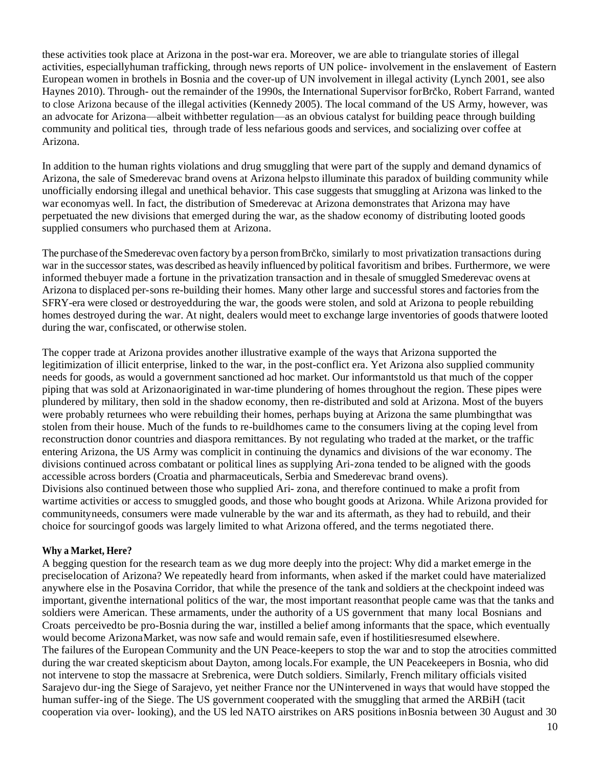these activities took place at Arizona in the post-war era. Moreover, we are able to triangulate stories of illegal activities, especiallyhuman trafficking, through news reports of UN police- involvement in the enslavement of Eastern European women in brothels in Bosnia and the cover-up of UN involvement in illegal activity (Lynch 2001, see also Haynes 2010). Through- out the remainder of the 1990s, the International Supervisor forBrc̆ko, Robert Farrand, wanted to close Arizona because of the illegal activities (Kennedy 2005). The local command of the US Army, however, was an advocate for Arizona—albeit withbetter regulation—as an obvious catalyst for building peace through building community and political ties, through trade of less nefarious goods and services, and socializing over coffee at Arizona.

In addition to the human rights violations and drug smuggling that were part of the supply and demand dynamics of Arizona, the sale of Smederevac brand ovens at Arizona helpsto illuminate this paradox of building community while unofficially endorsing illegal and unethical behavior. This case suggests that smuggling at Arizona was linked to the war economyas well. In fact, the distribution of Smederevac at Arizona demonstrates that Arizona may have perpetuated the new divisions that emerged during the war, as the shadow economy of distributing looted goods supplied consumers who purchased them at Arizona.

The purchase of the Smederevac oven factory by a person from Brčko, similarly to most privatization transactions during war in the successor states, was described as heavily influenced by political favoritism and bribes. Furthermore, we were informed thebuyer made a fortune in the privatization transaction and in thesale of smuggled Smederevac ovens at Arizona to displaced per-sons re-building their homes. Many other large and successful stores and factoriesfrom the SFRY-era were closed or destroyedduring the war, the goods were stolen, and sold at Arizona to people rebuilding homes destroyed during the war. At night, dealers would meet to exchange large inventories of goods thatwere looted during the war, confiscated, or otherwise stolen.

The copper trade at Arizona provides another illustrative example of the ways that Arizona supported the legitimization of illicit enterprise, linked to the war, in the post-conflict era. Yet Arizona also supplied community needs for goods, as would a government sanctioned ad hoc market. Our informantstold us that much of the copper piping that was sold at Arizonaoriginated in war-time plundering of homes throughout the region. These pipes were plundered by military, then sold in the shadow economy, then re-distributed and sold at Arizona. Most of the buyers were probably returnees who were rebuilding their homes, perhaps buying at Arizona the same plumbingthat was stolen from their house. Much of the funds to re-buildhomes came to the consumers living at the coping level from reconstruction donor countries and diaspora remittances. By not regulating who traded at the market, or the traffic entering Arizona, the US Army was complicit in continuing the dynamics and divisions of the war economy. The divisions continued across combatant or political lines as supplying Ari-zona tended to be aligned with the goods accessible across borders (Croatia and pharmaceuticals, Serbia and Smederevac brand ovens). Divisions also continued between those who supplied Ari- zona, and therefore continued to make a profit from wartime activities or access to smuggled goods, and those who bought goods at Arizona. While Arizona provided for communityneeds, consumers were made vulnerable by the war and its aftermath, as they had to rebuild, and their choice for sourcingof goods was largely limited to what Arizona offered, and the terms negotiated there.

## **Why a Market, Here?**

A begging question for the research team as we dug more deeply into the project: Why did a market emerge in the preciselocation of Arizona? We repeatedly heard from informants, when asked if the market could have materialized anywhere else in the Posavina Corridor, that while the presence of the tank and soldiers at the checkpoint indeed was important, giventhe international politics of the war, the most important reasonthat people came was that the tanks and soldiers were American. These armaments, under the authority of a US government that many local Bosnians and Croats perceivedto be pro-Bosnia during the war, instilled a belief among informants that the space, which eventually would become ArizonaMarket, was now safe and would remain safe, even if hostilitiesresumed elsewhere. The failures of the European Community and the UN Peace-keepers to stop the war and to stop the atrocities committed during the war created skepticism about Dayton, among locals.For example, the UN Peacekeepers in Bosnia, who did not intervene to stop the massacre at Srebrenica, were Dutch soldiers. Similarly, French military officials visited Sarajevo dur-ing the Siege of Sarajevo, yet neither France nor the UNintervened in ways that would have stopped the human suffer-ing of the Siege. The US government cooperated with the smuggling that armed the ARBiH (tacit cooperation via over- looking), and the US led NATO airstrikes on ARS positions inBosnia between 30 August and 30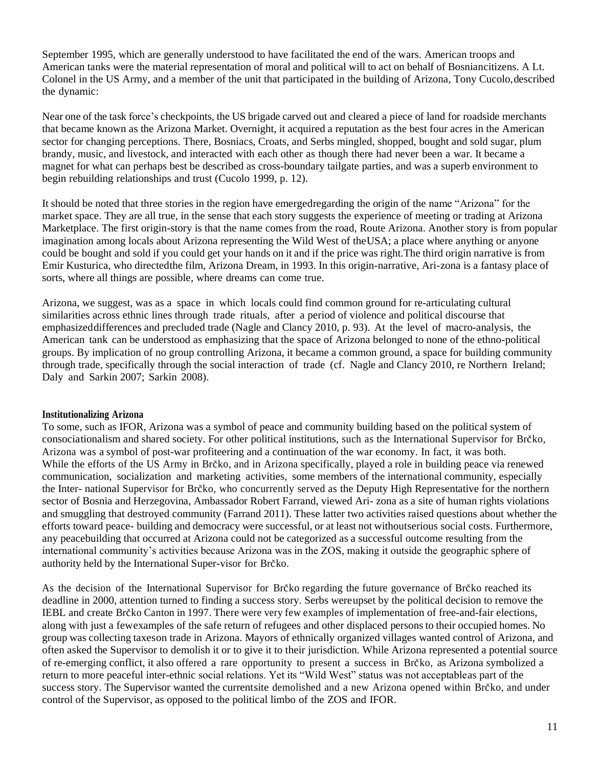September 1995, which are generally understood to have facilitated the end of the wars. American troops and American tanks were the material representation of moral and political will to act on behalf of Bosniancitizens. A Lt. Colonel in the US Army, and a member of the unit that participated in the building of Arizona, Tony Cucolo,described the dynamic:

Near one of the task force's checkpoints, the US brigade carved out and cleared a piece of land for roadside merchants that became known as the Arizona Market. Overnight, it acquired a reputation as the best four acres in the American sector for changing perceptions. There, Bosniacs, Croats, and Serbs mingled, shopped, bought and sold sugar, plum brandy, music, and livestock, and interacted with each other as though there had never been a war. It became a magnet for what can perhaps best be described as cross-boundary tailgate parties, and was a superb environment to begin rebuilding relationships and trust (Cucolo 1999, p. 12).

It should be noted that three stories in the region have emergedregarding the origin of the name "Arizona" for the market space. They are all true, in the sense that each story suggests the experience of meeting or trading at Arizona Marketplace. The first origin-story is that the name comes from the road, Route Arizona. Another story is from popular imagination among locals about Arizona representing the Wild West of theUSA; a place where anything or anyone could be bought and sold if you could get your hands on it and if the price was right.The third origin narrative is from Emir Kusturica, who directedthe film, Arizona Dream, in 1993. In this origin-narrative, Ari-zona is a fantasy place of sorts, where all things are possible, where dreams can come true.

Arizona, we suggest, was as a space in which locals could find common ground for re-articulating cultural similarities across ethnic lines through trade rituals, after a period of violence and political discourse that emphasizeddifferences and precluded trade (Nagle and Clancy 2010, p. 93). At the level of macro-analysis, the American tank can be understood as emphasizing that the space of Arizona belonged to none of the ethno-political groups. By implication of no group controlling Arizona, it became a common ground, a space for building community through trade, specifically through the social interaction of trade (cf. Nagle and Clancy 2010, re Northern Ireland; Daly and Sarkin 2007; Sarkin 2008).

## **Institutionalizing Arizona**

To some, such as IFOR, Arizona was a symbol of peace and community building based on the political system of consociationalism and shared society. For other political institutions, such as the International Supervisor for Brčko, Arizona was a symbol of post-war profiteering and a continuation of the war economy. In fact, it was both. While the efforts of the US Army in Brčko, and in Arizona specifically, played a role in building peace via renewed communication, socialization and marketing activities, some members of the international community, especially the Inter- national Supervisor for Brc<sup>\*ko</sup>, who concurrently served as the Deputy High Representative for the northern sector of Bosnia and Herzegovina, Ambassador Robert Farrand, viewed Ari- zona as a site of human rights violations and smuggling that destroyed community (Farrand 2011). These latter two activities raised questions about whether the efforts toward peace- building and democracy were successful, or at least not withoutserious social costs. Furthermore, any peacebuilding that occurred at Arizona could not be categorized as a successful outcome resulting from the international community's activities because Arizona was in the ZOS, making it outside the geographic sphere of authority held by the International Super-visor for Brčko.

As the decision of the International Supervisor for Brc̆ko regarding the future governance of Brc̆ko reached its deadline in 2000, attention turned to finding a success story. Serbs wereupset by the political decision to remove the IEBL and create Brc<sup>\*k</sup>o Canton in 1997. There were very few examples of implementation of free-and-fair elections, along with just a fewexamples of the safe return of refugees and other displaced persons to their occupied homes. No group was collecting taxeson trade in Arizona. Mayors of ethnically organized villages wanted control of Arizona, and often asked the Supervisor to demolish it or to give it to their jurisdiction. While Arizona represented a potential source of re-emerging conflict, it also offered a rare opportunity to present a success in Brcˇko, as Arizona symbolized a return to more peaceful inter-ethnic social relations. Yet its "Wild West" status was not acceptableas part of the success story. The Supervisor wanted the currentsite demolished and a new Arizona opened within Brčko, and under control of the Supervisor, as opposed to the political limbo of the ZOS and IFOR.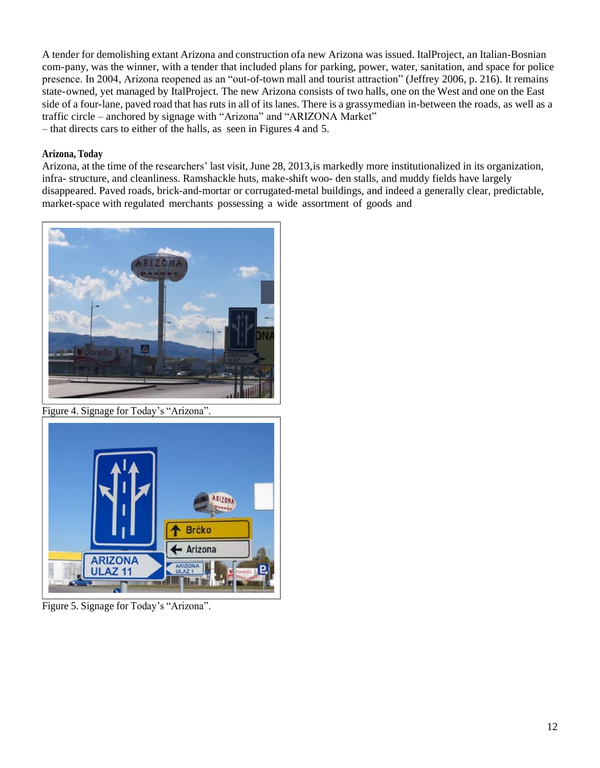A tender for demolishing extant Arizona and construction ofa new Arizona was issued. ItalProject, an Italian-Bosnian com-pany, was the winner, with a tender that included plans for parking, power, water, sanitation, and space for police presence. In 2004, Arizona reopened as an "out-of-town mall and tourist attraction" (Jeffrey 2006, p. 216). It remains state-owned, yet managed by ItalProject. The new Arizona consists of two halls, one on the West and one on the East side of a four-lane, paved road that has ruts in all of its lanes. There is a grassymedian in-between the roads, as well as a traffic circle – anchored by signage with "Arizona" and "ARIZONA Market" – that directs cars to either of the halls, as seen in Figures 4 and 5.

# **Arizona, Today**

Arizona, at the time of the researchers' last visit, June 28, 2013,is markedly more institutionalized in its organization, infra- structure, and cleanliness. Ramshackle huts, make-shift woo- den stalls, and muddy fields have largely disappeared. Paved roads, brick-and-mortar or corrugated-metal buildings, and indeed a generally clear, predictable, market-space with regulated merchants possessing a wide assortment of goods and



Figure 4. Signage for Today's "Arizona".



Figure 5. Signage for Today's "Arizona".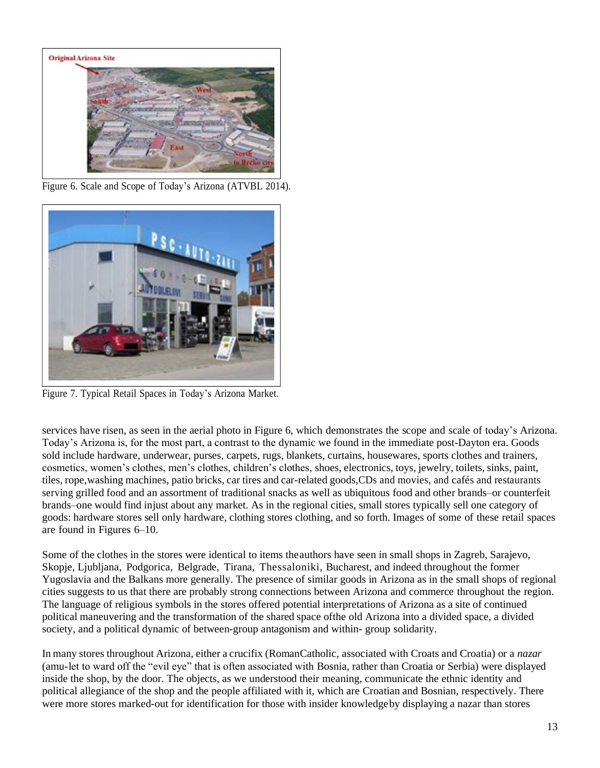

Figure 6. Scale and Scope of Today's Arizona (ATVBL 2014).



Figure 7. Typical Retail Spaces in Today's Arizona Market.

services have risen, as seen in the aerial photo in Figure 6, which demonstrates the scope and scale of today's Arizona. Today's Arizona is, for the most part, a contrast to the dynamic we found in the immediate post-Dayton era. Goods sold include hardware, underwear, purses, carpets, rugs, blankets, curtains, housewares, sports clothes and trainers, cosmetics, women's clothes, men's clothes, children's clothes, shoes, electronics, toys, jewelry, toilets, sinks, paint, tiles, rope, washing machines, patio bricks, car tires and car-related goods, CDs and movies, and cafés and restaurants serving grilled food and an assortment of traditional snacks as well as ubiquitous food and other brands–or counterfeit brands–one would find injust about any market. As in the regional cities, small stores typically sell one category of goods: hardware stores sell only hardware, clothing stores clothing, and so forth. Images of some of these retail spaces are found in Figures 6–10.

Some of the clothes in the stores were identical to items theauthors have seen in small shops in Zagreb, Sarajevo, Skopje, Ljubljana, Podgorica, Belgrade, Tirana, Thessaloniki, Bucharest, and indeed throughout the former Yugoslavia and the Balkans more generally. The presence of similar goods in Arizona as in the small shops of regional cities suggests to us that there are probably strong connections between Arizona and commerce throughout the region. The language of religious symbols in the stores offered potential interpretations of Arizona as a site of continued political maneuvering and the transformation of the shared space ofthe old Arizona into a divided space, a divided society, and a political dynamic of between-group antagonism and within- group solidarity.

In many stores throughout Arizona, either a crucifix (RomanCatholic, associated with Croats and Croatia) or a *nazar*  (amu-let to ward off the "evil eye" that is often associated with Bosnia, rather than Croatia or Serbia) were displayed inside the shop, by the door. The objects, as we understood their meaning, communicate the ethnic identity and political allegiance of the shop and the people affiliated with it, which are Croatian and Bosnian, respectively. There were more stores marked-out for identification for those with insider knowledgeby displaying a nazar than stores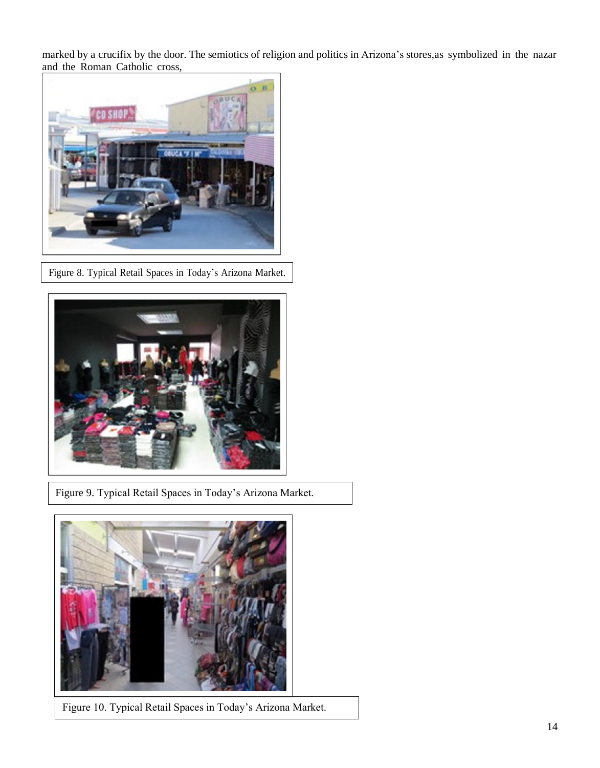marked by a crucifix by the door. The semiotics of religion and politics in Arizona's stores,as symbolized in the nazar and the Roman Catholic cross,



Figure 8. Typical Retail Spaces in Today's Arizona Market.



Figure 9. Typical Retail Spaces in Today's Arizona Market.



Figure 10. Typical Retail Spaces in Today's Arizona Market.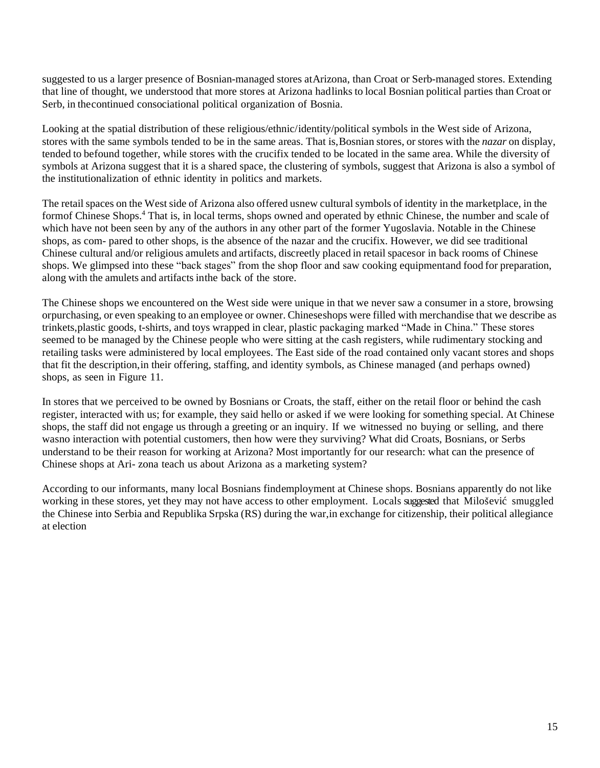suggested to us a larger presence of Bosnian-managed stores atArizona, than Croat or Serb-managed stores. Extending that line of thought, we understood that more stores at Arizona hadlinks to local Bosnian political parties than Croat or Serb, in thecontinued consociational political organization of Bosnia.

Looking at the spatial distribution of these religious/ethnic/identity/political symbols in the West side of Arizona, stores with the same symbols tended to be in the same areas. That is,Bosnian stores, or stores with the *nazar* on display, tended to befound together, while stores with the crucifix tended to be located in the same area. While the diversity of symbols at Arizona suggest that it is a shared space, the clustering of symbols, suggest that Arizona is also a symbol of the institutionalization of ethnic identity in politics and markets.

The retail spaces on the West side of Arizona also offered usnew cultural symbols of identity in the marketplace, in the formof Chinese Shops.<sup>4</sup> That is, in local terms, shops owned and operated by ethnic Chinese, the number and scale of which have not been seen by any of the authors in any other part of the former Yugoslavia. Notable in the Chinese shops, as com- pared to other shops, is the absence of the nazar and the crucifix. However, we did see traditional Chinese cultural and/or religious amulets and artifacts, discreetly placed in retail spacesor in back rooms of Chinese shops. We glimpsed into these "back stages" from the shop floor and saw cooking equipmentand food for preparation, along with the amulets and artifacts inthe back of the store.

The Chinese shops we encountered on the West side were unique in that we never saw a consumer in a store, browsing orpurchasing, or even speaking to an employee or owner. Chineseshops were filled with merchandise that we describe as trinkets,plastic goods, t-shirts, and toys wrapped in clear, plastic packaging marked "Made in China." These stores seemed to be managed by the Chinese people who were sitting at the cash registers, while rudimentary stocking and retailing tasks were administered by local employees. The East side of the road contained only vacant stores and shops that fit the description,in their offering, staffing, and identity symbols, as Chinese managed (and perhaps owned) shops, as seen in Figure 11.

In stores that we perceived to be owned by Bosnians or Croats, the staff, either on the retail floor or behind the cash register, interacted with us; for example, they said hello or asked if we were looking for something special. At Chinese shops, the staff did not engage us through a greeting or an inquiry. If we witnessed no buying or selling, and there wasno interaction with potential customers, then how were they surviving? What did Croats, Bosnians, or Serbs understand to be their reason for working at Arizona? Most importantly for our research: what can the presence of Chinese shops at Ari- zona teach us about Arizona as a marketing system?

According to our informants, many local Bosnians findemployment at Chinese shops. Bosnians apparently do not like working in these stores, yet they may not have access to other employment. Locals suggested that Miloševic´ smuggled the Chinese into Serbia and Republika Srpska (RS) during the war,in exchange for citizenship, their political allegiance at election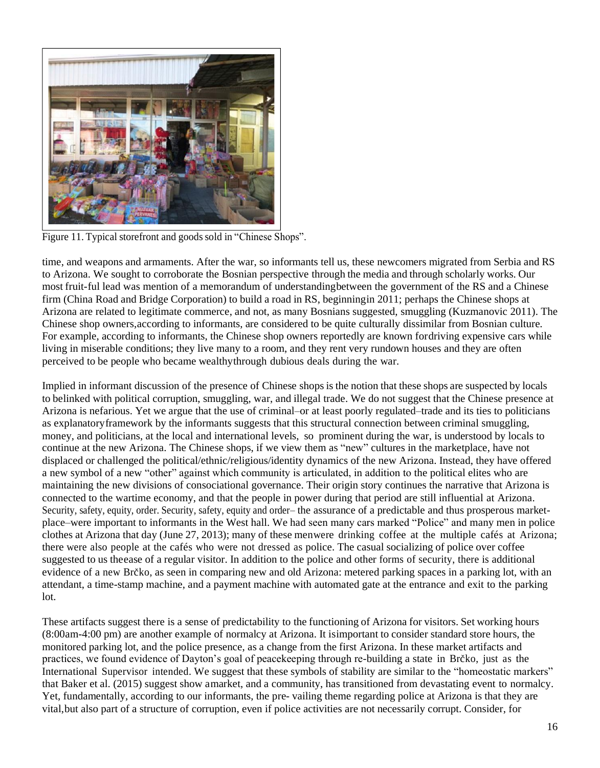

Figure 11. Typical storefront and goods sold in "Chinese Shops".

time, and weapons and armaments. After the war, so informants tell us, these newcomers migrated from Serbia and RS to Arizona. We sought to corroborate the Bosnian perspective through the media and through scholarly works. Our most fruit-ful lead was mention of a memorandum of understandingbetween the government of the RS and a Chinese firm (China Road and Bridge Corporation) to build a road in RS, beginningin 2011; perhaps the Chinese shops at Arizona are related to legitimate commerce, and not, as many Bosnians suggested, smuggling (Kuzmanovic 2011). The Chinese shop owners,according to informants, are considered to be quite culturally dissimilar from Bosnian culture. For example, according to informants, the Chinese shop owners reportedly are known fordriving expensive cars while living in miserable conditions; they live many to a room, and they rent very rundown houses and they are often perceived to be people who became wealthythrough dubious deals during the war.

Implied in informant discussion of the presence of Chinese shops is the notion that these shops are suspected by locals to belinked with political corruption, smuggling, war, and illegal trade. We do not suggest that the Chinese presence at Arizona is nefarious. Yet we argue that the use of criminal–or at least poorly regulated–trade and its ties to politicians as explanatoryframework by the informants suggests that this structural connection between criminal smuggling, money, and politicians, at the local and international levels, so prominent during the war, is understood by locals to continue at the new Arizona. The Chinese shops, if we view them as "new" cultures in the marketplace, have not displaced or challenged the political/ethnic/religious/identity dynamics of the new Arizona. Instead, they have offered a new symbol of a new "other" against which community is articulated, in addition to the political elites who are maintaining the new divisions of consociational governance. Their origin story continues the narrative that Arizona is connected to the wartime economy, and that the people in power during that period are still influential at Arizona. Security, safety, equity, order. Security, safety, equity and order– the assurance of a predictable and thus prosperous marketplace–were important to informants in the West hall. We had seen many cars marked "Police" and many men in police clothes at Arizona that day (June  $27$ ,  $2013$ ); many of these menwere drinking coffee at the multiple cafés at Arizona; there were also people at the cafés who were not dressed as police. The casual socializing of police over coffee suggested to us theease of a regular visitor. In addition to the police and other forms of security, there is additional evidence of a new Brčko, as seen in comparing new and old Arizona: metered parking spaces in a parking lot, with an attendant, a time-stamp machine, and a payment machine with automated gate at the entrance and exit to the parking lot.

These artifacts suggest there is a sense of predictability to the functioning of Arizona for visitors. Set working hours (8:00am-4:00 pm) are another example of normalcy at Arizona. It isimportant to consider standard store hours, the monitored parking lot, and the police presence, as a change from the first Arizona. In these market artifacts and practices, we found evidence of Dayton's goal of peacekeeping through re-building a state in Brčko, just as the International Supervisor intended. We suggest that these symbols of stability are similar to the "homeostatic markers" that Baker et al. (2015) suggest show amarket, and a community, has transitioned from devastating event to normalcy. Yet, fundamentally, according to our informants, the pre- vailing theme regarding police at Arizona is that they are vital,but also part of a structure of corruption, even if police activities are not necessarily corrupt. Consider, for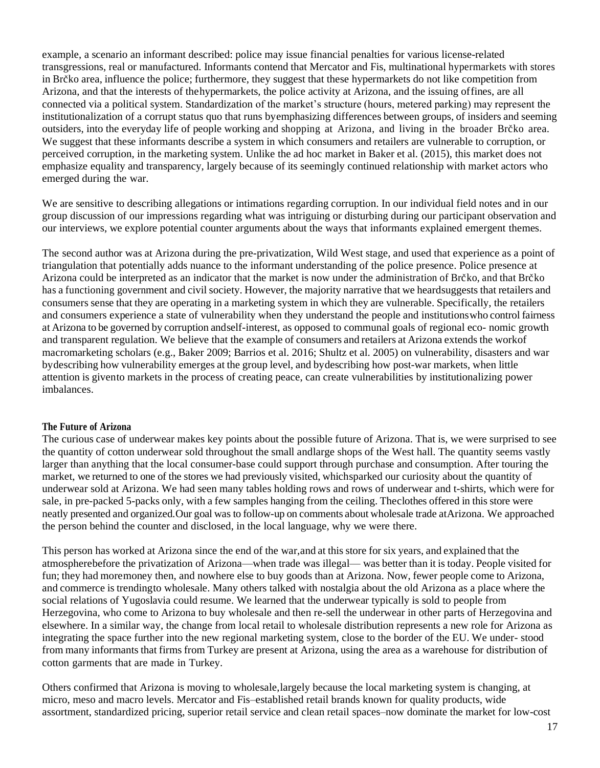example, a scenario an informant described: police may issue financial penalties for various license-related transgressions, real or manufactured. Informants contend that Mercator and Fis, multinational hypermarkets with stores in Brčko area, influence the police; furthermore, they suggest that these hypermarkets do not like competition from Arizona, and that the interests of thehypermarkets, the police activity at Arizona, and the issuing offines, are all connected via a political system. Standardization of the market's structure (hours, metered parking) may represent the institutionalization of a corrupt status quo that runs byemphasizing differences between groups, of insiders and seeming outsiders, into the everyday life of people working and shopping at Arizona, and living in the broader Brčko area. We suggest that these informants describe a system in which consumers and retailers are vulnerable to corruption, or perceived corruption, in the marketing system. Unlike the ad hoc market in Baker et al. (2015), this market does not emphasize equality and transparency, largely because of its seemingly continued relationship with market actors who emerged during the war.

We are sensitive to describing allegations or intimations regarding corruption. In our individual field notes and in our group discussion of our impressions regarding what was intriguing or disturbing during our participant observation and our interviews, we explore potential counter arguments about the ways that informants explained emergent themes.

The second author was at Arizona during the pre-privatization, Wild West stage, and used that experience as a point of triangulation that potentially adds nuance to the informant understanding of the police presence. Police presence at Arizona could be interpreted as an indicator that the market is now under the administration of Brčko, and that Brčko has a functioning government and civil society. However, the majority narrative that we heardsuggests that retailers and consumers sense that they are operating in a marketing system in which they are vulnerable. Specifically, the retailers and consumers experience a state of vulnerability when they understand the people and institutionswho control fairness at Arizona to be governed by corruption andself-interest, as opposed to communal goals of regional eco- nomic growth and transparent regulation. We believe that the example of consumers and retailers at Arizona extends the workof macromarketing scholars (e.g., Baker 2009; Barrios et al. 2016; Shultz et al. 2005) on vulnerability, disasters and war bydescribing how vulnerability emerges at the group level, and bydescribing how post-war markets, when little attention is givento markets in the process of creating peace, can create vulnerabilities by institutionalizing power imbalances.

#### **The Future of Arizona**

The curious case of underwear makes key points about the possible future of Arizona. That is, we were surprised to see the quantity of cotton underwear sold throughout the small andlarge shops of the West hall. The quantity seems vastly larger than anything that the local consumer-base could support through purchase and consumption. After touring the market, we returned to one of the stores we had previously visited, whichsparked our curiosity about the quantity of underwear sold at Arizona. We had seen many tables holding rows and rows of underwear and t-shirts, which were for sale, in pre-packed 5-packs only, with a few samples hanging from the ceiling. Theclothes offered in this store were neatly presented and organized.Our goal was to follow-up on comments about wholesale trade atArizona. We approached the person behind the counter and disclosed, in the local language, why we were there.

This person has worked at Arizona since the end of the war,and at this store for six years, and explained that the atmospherebefore the privatization of Arizona—when trade was illegal— was better than it is today. People visited for fun; they had moremoney then, and nowhere else to buy goods than at Arizona. Now, fewer people come to Arizona, and commerce is trendingto wholesale. Many others talked with nostalgia about the old Arizona as a place where the social relations of Yugoslavia could resume. We learned that the underwear typically is sold to people from Herzegovina, who come to Arizona to buy wholesale and then re-sell the underwear in other parts of Herzegovina and elsewhere. In a similar way, the change from local retail to wholesale distribution represents a new role for Arizona as integrating the space further into the new regional marketing system, close to the border of the EU. We under- stood from many informants that firms from Turkey are present at Arizona, using the area as a warehouse for distribution of cotton garments that are made in Turkey.

Others confirmed that Arizona is moving to wholesale,largely because the local marketing system is changing, at micro, meso and macro levels. Mercator and Fis–established retail brands known for quality products, wide assortment, standardized pricing, superior retail service and clean retail spaces–now dominate the market for low-cost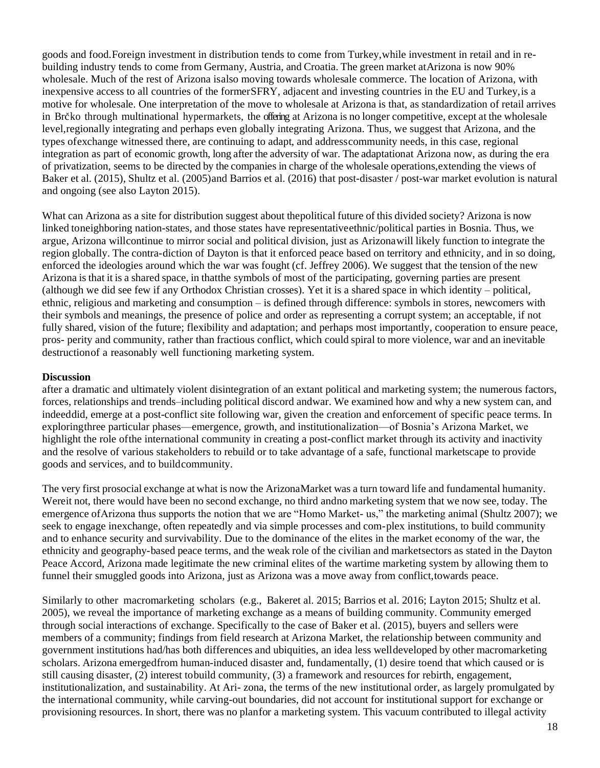goods and food.Foreign investment in distribution tends to come from Turkey,while investment in retail and in rebuilding industry tends to come from Germany, Austria, and Croatia. The green market atArizona is now 90% wholesale. Much of the rest of Arizona isalso moving towards wholesale commerce. The location of Arizona, with inexpensive access to all countries of the formerSFRY, adjacent and investing countries in the EU and Turkey,is a motive for wholesale. One interpretation of the move to wholesale at Arizona is that, as standardization of retail arrives in Brčko through multinational hypermarkets, the offering at Arizona is no longer competitive, except at the wholesale level,regionally integrating and perhaps even globally integrating Arizona. Thus, we suggest that Arizona, and the types ofexchange witnessed there, are continuing to adapt, and addresscommunity needs, in this case, regional integration as part of economic growth, long after the adversity of war. The adaptationat Arizona now, as during the era of privatization, seems to be directed by the companies in charge of the wholesale operations,extending the views of Baker et al. (2015), Shultz et al. (2005)and Barrios et al. (2016) that post-disaster / post-war market evolution is natural and ongoing (see also Layton 2015).

What can Arizona as a site for distribution suggest about the political future of this divided society? Arizona is now linked toneighboring nation-states, and those states have representativeethnic/political parties in Bosnia. Thus, we argue, Arizona willcontinue to mirror social and political division, just as Arizonawill likely function to integrate the region globally. The contra-diction of Dayton is that it enforced peace based on territory and ethnicity, and in so doing, enforced the ideologies around which the war was fought (cf. Jeffrey 2006). We suggest that the tension of the new Arizona is that it is a shared space, in thatthe symbols of most of the participating, governing parties are present (although we did see few if any Orthodox Christian crosses). Yet it is a shared space in which identity – political, ethnic, religious and marketing and consumption – is defined through difference: symbols in stores, newcomers with their symbols and meanings, the presence of police and order as representing a corrupt system; an acceptable, if not fully shared, vision of the future; flexibility and adaptation; and perhaps most importantly, cooperation to ensure peace, pros- perity and community, rather than fractious conflict, which could spiral to more violence, war and an inevitable destructionof a reasonably well functioning marketing system.

## **Discussion**

after a dramatic and ultimately violent disintegration of an extant political and marketing system; the numerous factors, forces, relationships and trends–including political discord andwar. We examined how and why a new system can, and indeeddid, emerge at a post-conflict site following war, given the creation and enforcement of specific peace terms. In exploringthree particular phases—emergence, growth, and institutionalization—of Bosnia's Arizona Market, we highlight the role ofthe international community in creating a post-conflict market through its activity and inactivity and the resolve of various stakeholders to rebuild or to take advantage of a safe, functional marketscape to provide goods and services, and to buildcommunity.

The very first prosocial exchange at what is now the ArizonaMarket was a turn toward life and fundamental humanity. Wereit not, there would have been no second exchange, no third andno marketing system that we now see, today. The emergence ofArizona thus supports the notion that we are "Homo Market- us," the marketing animal (Shultz 2007); we seek to engage inexchange, often repeatedly and via simple processes and com-plex institutions, to build community and to enhance security and survivability. Due to the dominance of the elites in the market economy of the war, the ethnicity and geography-based peace terms, and the weak role of the civilian and marketsectors as stated in the Dayton Peace Accord, Arizona made legitimate the new criminal elites of the wartime marketing system by allowing them to funnel their smuggled goods into Arizona, just as Arizona was a move away from conflict,towards peace.

Similarly to other macromarketing scholars (e.g., Bakeret al. 2015; Barrios et al. 2016; Layton 2015; Shultz et al. 2005), we reveal the importance of marketing exchange as a means of building community. Community emerged through social interactions of exchange. Specifically to the case of Baker et al. (2015), buyers and sellers were members of a community; findings from field research at Arizona Market, the relationship between community and government institutions had/has both differences and ubiquities, an idea less welldeveloped by other macromarketing scholars. Arizona emergedfrom human-induced disaster and, fundamentally, (1) desire toend that which caused or is still causing disaster, (2) interest tobuild community, (3) a framework and resources for rebirth, engagement, institutionalization, and sustainability. At Ari- zona, the terms of the new institutional order, as largely promulgated by the international community, while carving-out boundaries, did not account for institutional support for exchange or provisioning resources. In short, there was no planfor a marketing system. This vacuum contributed to illegal activity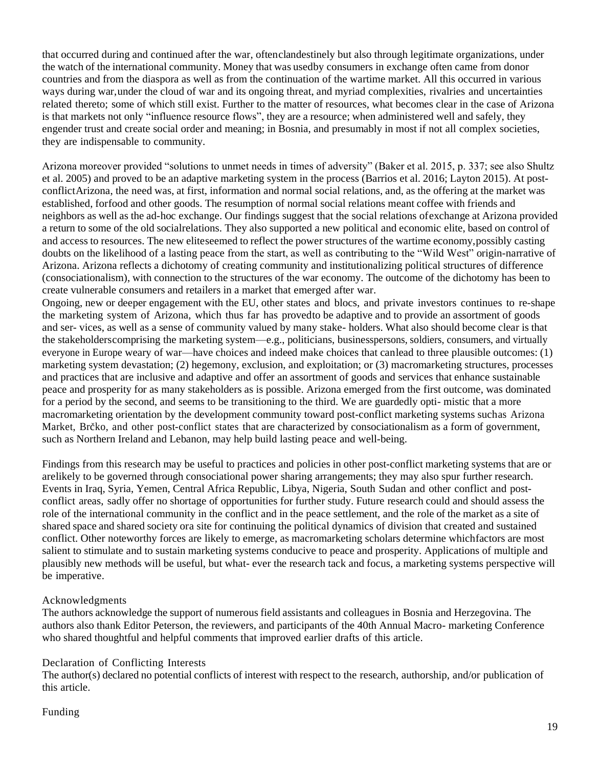that occurred during and continued after the war, oftenclandestinely but also through legitimate organizations, under the watch of the international community. Money that was usedby consumers in exchange often came from donor countries and from the diaspora as well as from the continuation of the wartime market. All this occurred in various ways during war,under the cloud of war and its ongoing threat, and myriad complexities, rivalries and uncertainties related thereto; some of which still exist. Further to the matter of resources, what becomes clear in the case of Arizona is that markets not only "influence resource flows", they are a resource; when administered well and safely, they engender trust and create social order and meaning; in Bosnia, and presumably in most if not all complex societies, they are indispensable to community.

Arizona moreover provided "solutions to unmet needs in times of adversity" (Baker et al. 2015, p. 337; see also Shultz et al. 2005) and proved to be an adaptive marketing system in the process (Barrios et al. 2016; Layton 2015). At postconflictArizona, the need was, at first, information and normal social relations, and, as the offering at the market was established, forfood and other goods. The resumption of normal social relations meant coffee with friends and neighbors as well as the ad-hoc exchange. Our findings suggest that the social relations ofexchange at Arizona provided a return to some of the old socialrelations. They also supported a new political and economic elite, based on control of and access to resources. The new eliteseemed to reflect the power structures of the wartime economy,possibly casting doubts on the likelihood of a lasting peace from the start, as well as contributing to the "Wild West" origin-narrative of Arizona. Arizona reflects a dichotomy of creating community and institutionalizing political structures of difference (consociationalism), with connection to the structures of the war economy. The outcome of the dichotomy has been to create vulnerable consumers and retailers in a market that emerged after war.

Ongoing, new or deeper engagement with the EU, other states and blocs, and private investors continues to re-shape the marketing system of Arizona, which thus far has provedto be adaptive and to provide an assortment of goods and ser- vices, as well as a sense of community valued by many stake- holders. What also should become clear is that the stakeholderscomprising the marketing system—e.g., politicians, businesspersons, soldiers, consumers, and virtually everyone in Europe weary of war—have choices and indeed make choices that canlead to three plausible outcomes: (1) marketing system devastation; (2) hegemony, exclusion, and exploitation; or (3) macromarketing structures, processes and practices that are inclusive and adaptive and offer an assortment of goods and services that enhance sustainable peace and prosperity for as many stakeholders as is possible. Arizona emerged from the first outcome, was dominated for a period by the second, and seems to be transitioning to the third. We are guardedly opti- mistic that a more macromarketing orientation by the development community toward post-conflict marketing systems suchas Arizona Market, Brc̆ko, and other post-conflict states that are characterized by consociationalism as a form of government, such as Northern Ireland and Lebanon, may help build lasting peace and well-being.

Findings from this research may be useful to practices and policies in other post-conflict marketing systems that are or arelikely to be governed through consociational power sharing arrangements; they may also spur further research. Events in Iraq, Syria, Yemen, Central Africa Republic, Libya, Nigeria, South Sudan and other conflict and postconflict areas, sadly offer no shortage of opportunities for further study. Future research could and should assess the role of the international community in the conflict and in the peace settlement, and the role of the market as a site of shared space and shared society ora site for continuing the political dynamics of division that created and sustained conflict. Other noteworthy forces are likely to emerge, as macromarketing scholars determine whichfactors are most salient to stimulate and to sustain marketing systems conducive to peace and prosperity. Applications of multiple and plausibly new methods will be useful, but what- ever the research tack and focus, a marketing systems perspective will be imperative.

# Acknowledgments

The authors acknowledge the support of numerous field assistants and colleagues in Bosnia and Herzegovina. The authors also thank Editor Peterson, the reviewers, and participants of the 40th Annual Macro- marketing Conference who shared thoughtful and helpful comments that improved earlier drafts of this article.

## Declaration of Conflicting Interests

The author(s) declared no potential conflicts of interest with respect to the research, authorship, and/or publication of this article.

# Funding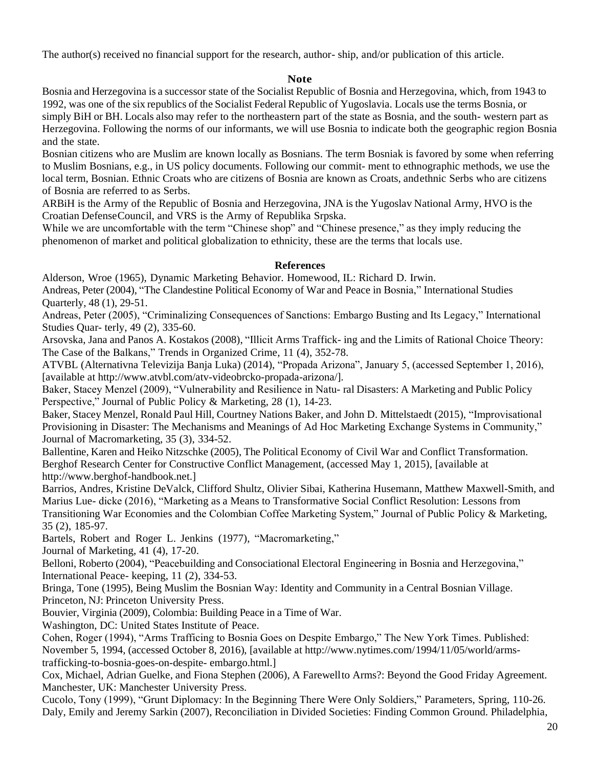The author(s) received no financial support for the research, author- ship, and/or publication of this article.

## **Note**

Bosnia and Herzegovina is a successor state of the Socialist Republic of Bosnia and Herzegovina, which, from 1943 to 1992, was one of the six republics of the Socialist Federal Republic of Yugoslavia. Locals use the terms Bosnia, or simply BiH or BH. Locals also may refer to the northeastern part of the state as Bosnia, and the south- western part as Herzegovina. Following the norms of our informants, we will use Bosnia to indicate both the geographic region Bosnia and the state.

Bosnian citizens who are Muslim are known locally as Bosnians. The term Bosniak is favored by some when referring to Muslim Bosnians, e.g., in US policy documents. Following our commit- ment to ethnographic methods, we use the local term, Bosnian. Ethnic Croats who are citizens of Bosnia are known as Croats, andethnic Serbs who are citizens of Bosnia are referred to as Serbs.

ARBiH is the Army of the Republic of Bosnia and Herzegovina, JNA is the Yugoslav National Army, HVO is the Croatian DefenseCouncil, and VRS is the Army of Republika Srpska.

While we are uncomfortable with the term "Chinese shop" and "Chinese presence," as they imply reducing the phenomenon of market and political globalization to ethnicity, these are the terms that locals use.

## **References**

Alderson, Wroe (1965), Dynamic Marketing Behavior. Homewood, IL: Richard D. Irwin.

Andreas, Peter (2004), "The Clandestine Political Economy of War and Peace in Bosnia," International Studies Quarterly, 48 (1), 29-51.

Andreas, Peter (2005), "Criminalizing Consequences of Sanctions: Embargo Busting and Its Legacy," International Studies Quar- terly, 49 (2), 335-60.

Arsovska, Jana and Panos A. Kostakos (2008), "Illicit Arms Traffick- ing and the Limits of Rational Choice Theory: The Case of the Balkans," Trends in Organized Crime, 11 (4), 352-78.

ATVBL (Alternativna Televizija Banja Luka) (2014), "Propada Arizona", January 5, (accessed September 1, 2016), [available at [http://www.atvbl.com/atv-videobrcko-propada-arizona/\].](http://www.atvbl.com/atv-videobrcko-propada-arizona/)

Baker, Stacey Menzel (2009), "Vulnerability and Resilience in Natu- ral Disasters: A Marketing and Public Policy Perspective," Journal of Public Policy & Marketing, 28 (1), 14-23.

Baker, Stacey Menzel, Ronald Paul Hill, Courtney Nations Baker, and John D. Mittelstaedt (2015), "Improvisational Provisioning in Disaster: The Mechanisms and Meanings of Ad Hoc Marketing Exchange Systems in Community," Journal of Macromarketing, 35 (3), 334-52.

Ballentine, Karen and Heiko Nitzschke (2005), The Political Economy of Civil War and Conflict Transformation. Berghof Research Center for Constructive Conflict Management, (accessed May 1, 2015), [available at [http://www.berghof-handbook.net.\]](http://www.berghof-handbook.net/)

Barrios, Andres, Kristine DeValck, Clifford Shultz, Olivier Sibai, Katherina Husemann, Matthew Maxwell-Smith, and Marius Lue- dicke (2016), "Marketing as a Means to Transformative Social Conflict Resolution: Lessons from Transitioning War Economies and the Colombian Coffee Marketing System," Journal of Public Policy & Marketing, 35 (2), 185-97.

Bartels, Robert and Roger L. Jenkins (1977), "Macromarketing,"

Journal of Marketing, 41 (4), 17-20.

Belloni, Roberto (2004), "Peacebuilding and Consociational Electoral Engineering in Bosnia and Herzegovina," International Peace- keeping, 11 (2), 334-53.

Bringa, Tone (1995), Being Muslim the Bosnian Way: Identity and Community in a Central Bosnian Village. Princeton, NJ: Princeton University Press.

Bouvier, Virginia (2009), Colombia: Building Peace in a Time of War.

Washington, DC: United States Institute of Peace.

Cohen, Roger (1994), "Arms Trafficing to Bosnia Goes on Despite Embargo," The New York Times. Published: November 5, 1994, (accessed October 8, 2016), [available at [http://www.nytimes.com/1994/11/05/world/arms](http://www.nytimes.com/1994/11/05/world/arms-trafficking-to-bosnia-goes-on-despite-embargo.html)[trafficking-to-bosnia-goes-on-despite-](http://www.nytimes.com/1994/11/05/world/arms-trafficking-to-bosnia-goes-on-despite-embargo.html) [embargo.html.\]](http://www.nytimes.com/1994/11/05/world/arms-trafficking-to-bosnia-goes-on-despite-embargo.html)

Cox, Michael, Adrian Guelke, and Fiona Stephen (2006), A Farewellto Arms?: Beyond the Good Friday Agreement. Manchester, UK: Manchester University Press.

Cucolo, Tony (1999), "Grunt Diplomacy: In the Beginning There Were Only Soldiers," Parameters, Spring, 110-26. Daly, Emily and Jeremy Sarkin (2007), Reconciliation in Divided Societies: Finding Common Ground. Philadelphia,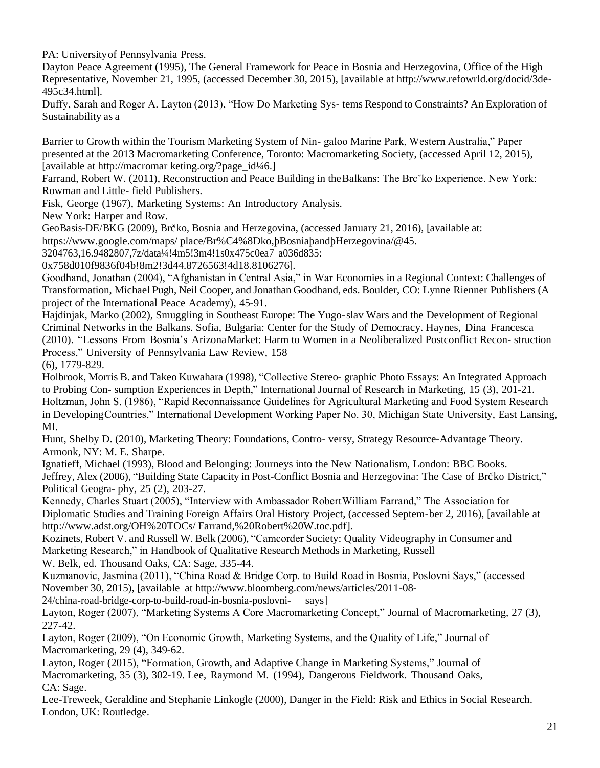PA: Universityof Pennsylvania Press.

Dayton Peace Agreement (1995), The General Framework for Peace in Bosnia and Herzegovina, Office of the High Representative, November 21, 1995, (accessed December 30, 2015), [available at [http://www.refowrld.org/docid/3de-](http://www.refowrld.org/docid/3de-495c34.html)[495c34.html\].](http://www.refowrld.org/docid/3de-495c34.html)

Duffy, Sarah and Roger A. Layton (2013), "How Do Marketing Sys- tems Respond to Constraints? An Exploration of Sustainability as a

Barrier to Growth within the Tourism Marketing System of Nin- galoo Marine Park, Western Australia," Paper presented at the 2013 Macromarketing Conference, Toronto: Macromarketing Society, (accessed April 12, 2015), [available at [http://macromar](http://macromarketing.org/?page_id¼%3B6) [keting.org/?page\\_id¼6.\]](http://macromarketing.org/?page_id¼%3B6)

Farrand, Robert W. (2011), Reconstruction and Peace Building in the Balkans: The Brc<sup>x</sup>ko Experience. New York: Rowman and Little- field Publishers.

Fisk, George (1967), Marketing Systems: An Introductory Analysis.

New York: Harper and Row.

GeoBasis-DE/BKG (2009), Brčko, Bosnia and Herzegovina, (accessed January 21, 2016), [available at:

https[://www.google.com/maps/](http://www.google.com/maps/) place/Br%C4%8Dko,þBosniaþandþHerzegovina/@45.

3204763,16.9482807,7z/data¼!4m5!3m4!1s0x475c0ea7 a036d835:

0x758d010f9836f04b!8m2!3d44.8726563!4d18.8106276].

Goodhand, Jonathan (2004), "Afghanistan in Central Asia," in War Economies in a Regional Context: Challenges of Transformation, Michael Pugh, Neil Cooper, and Jonathan Goodhand, eds. Boulder, CO: Lynne Rienner Publishers (A project of the International Peace Academy), 45-91.

Hajdinjak, Marko (2002), Smuggling in Southeast Europe: The Yugo-slav Wars and the Development of Regional Criminal Networks in the Balkans. Sofia, Bulgaria: Center for the Study of Democracy. Haynes, Dina Francesca (2010). "Lessons From Bosnia's ArizonaMarket: Harm to Women in a Neoliberalized Postconflict Recon- struction Process," University of Pennsylvania Law Review, 158

(6), 1779-829.

Holbrook, Morris B. and Takeo Kuwahara (1998), "Collective Stereo- graphic Photo Essays: An Integrated Approach to Probing Con- sumption Experiences in Depth," International Journal of Research in Marketing, 15 (3), 201-21. Holtzman, John S. (1986), "Rapid Reconnaissance Guidelines for Agricultural Marketing and Food System Research in DevelopingCountries," International Development Working Paper No. 30, Michigan State University, East Lansing, MI.

Hunt, Shelby D. (2010), Marketing Theory: Foundations, Contro- versy, Strategy Resource-Advantage Theory. Armonk, NY: M. E. Sharpe.

Ignatieff, Michael (1993), Blood and Belonging: Journeys into the New Nationalism, London: BBC Books. Jeffrey, Alex (2006), "Building State Capacity in Post-Conflict Bosnia and Herzegovina: The Case of Brčko District," Political Geogra- phy, 25 (2), 203-27.

Kennedy, Charles Stuart (2005), "Interview with Ambassador RobertWilliam Farrand," The Association for Diplomatic Studies and Training Foreign Affairs Oral History Project, (accessed Septem-ber 2, 2016), [available at [http://www.adst.org/OH%20TOCs/](http://www.adst.org/OH%20TOCs/Farrand%2C%20Robert%20W.toc.pdf) [Farrand,%20Robert%20W.toc.pdf\].](http://www.adst.org/OH%20TOCs/Farrand%2C%20Robert%20W.toc.pdf)

Kozinets, Robert V. and Russell W. Belk (2006), "Camcorder Society: Quality Videography in Consumer and Marketing Research," in Handbook of Qualitative Research Methods in Marketing, Russell

W. Belk, ed. Thousand Oaks, CA: Sage, 335-44.

Kuzmanovic, Jasmina (2011), "China Road & Bridge Corp. to Build Road in Bosnia, Poslovni Says," (accessed November 30, 2015), [available at [http://www.bloomberg.com/news/articles/2011-08-](http://www.bloomberg.com/news/articles/2011-08-24/china-road-bridge-corp-to-build-road-in-bosnia-poslovni-says)

[24/china-road-bridge-corp-to-build-road-in-bosnia-poslovni- says\]](http://www.bloomberg.com/news/articles/2011-08-24/china-road-bridge-corp-to-build-road-in-bosnia-poslovni-says)

Layton, Roger (2007), "Marketing Systems A Core Macromarketing Concept," Journal of Macromarketing, 27 (3), 227-42.

Layton, Roger (2009), "On Economic Growth, Marketing Systems, and the Quality of Life," Journal of Macromarketing, 29 (4), 349-62.

Layton, Roger (2015), "Formation, Growth, and Adaptive Change in Marketing Systems," Journal of Macromarketing, 35 (3), 302-19. Lee, Raymond M. (1994), Dangerous Fieldwork. Thousand Oaks, CA: Sage.

Lee-Treweek, Geraldine and Stephanie Linkogle (2000), Danger in the Field: Risk and Ethics in Social Research. London, UK: Routledge.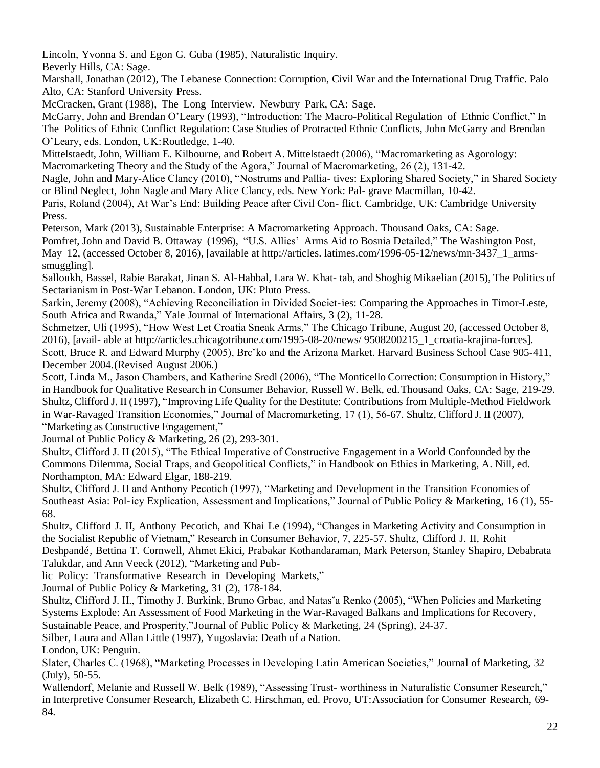Lincoln, Yvonna S. and Egon G. Guba (1985), Naturalistic Inquiry.

Beverly Hills, CA: Sage.

Marshall, Jonathan (2012), The Lebanese Connection: Corruption, Civil War and the International Drug Traffic. Palo Alto, CA: Stanford University Press.

McCracken, Grant (1988), The Long Interview. Newbury Park, CA: Sage.

McGarry, John and Brendan O'Leary (1993), "Introduction: The Macro-Political Regulation of Ethnic Conflict," In The Politics of Ethnic Conflict Regulation: Case Studies of Protracted Ethnic Conflicts, John McGarry and Brendan O'Leary, eds. London, UK:Routledge, 1-40.

Mittelstaedt, John, William E. Kilbourne, and Robert A. Mittelstaedt (2006), "Macromarketing as Agorology: Macromarketing Theory and the Study of the Agora," Journal of Macromarketing, 26 (2), 131-42.

Nagle, John and Mary-Alice Clancy (2010), "Nostrums and Pallia- tives: Exploring Shared Society," in Shared Society or Blind Neglect, John Nagle and Mary Alice Clancy, eds. New York: Pal- grave Macmillan, 10-42.

Paris, Roland (2004), At War's End: Building Peace after Civil Con- flict. Cambridge, UK: Cambridge University Press.

Peterson, Mark (2013), Sustainable Enterprise: A Macromarketing Approach. Thousand Oaks, CA: Sage.

Pomfret, John and David B. Ottaway (1996), "U.S. Allies' Arms Aid to Bosnia Detailed," The Washington Post, May 12, (accessed October 8, 2016), [available at [http://articles.](http://articles.latimes.com/1996-05-12/news/mn-3437_1_arms-smuggling) [latimes.com/1996-05-12/news/mn-3437\\_1\\_arms](http://articles.latimes.com/1996-05-12/news/mn-3437_1_arms-smuggling)[smuggling\]](http://articles.latimes.com/1996-05-12/news/mn-3437_1_arms-smuggling).

Salloukh, Bassel, Rabie Barakat, Jinan S. Al-Habbal, Lara W. Khat- tab, and Shoghig Mikaelian (2015), The Politics of Sectarianism in Post-War Lebanon. London, UK: Pluto Press.

Sarkin, Jeremy (2008), "Achieving Reconciliation in Divided Societ-ies: Comparing the Approaches in Timor-Leste, South Africa and Rwanda," Yale Journal of International Affairs, 3 (2), 11-28.

Schmetzer, Uli (1995), "How West Let Croatia Sneak Arms," The Chicago Tribune, August 20, (accessed October 8, 2016), [avail- able at [http://articles.chicagotribune.com/1995-08-20/news/](http://articles.chicagotribune.com/1995-08-20/news/9508200215_1_croatia-krajina-forces) [9508200215\\_1\\_croatia-krajina-forces\].](http://articles.chicagotribune.com/1995-08-20/news/9508200215_1_croatia-krajina-forces) Scott, Bruce R. and Edward Murphy (2005), Brcˇko and the Arizona Market. Harvard Business School Case 905-411, December 2004.(Revised August 2006.)

Scott, Linda M., Jason Chambers, and Katherine Sredl (2006), "The Monticello Correction: Consumption in History," in Handbook for Qualitative Research in Consumer Behavior, Russell W. Belk, ed.Thousand Oaks, CA: Sage, 219-29. Shultz, Clifford J. II (1997), "Improving Life Quality for the Destitute: Contributions from Multiple-Method Fieldwork in War-Ravaged Transition Economies," Journal of Macromarketing, 17 (1), 56-67. Shultz, Clifford J. II (2007), "Marketing as Constructive Engagement,"

Journal of Public Policy & Marketing, 26 (2), 293-301.

Shultz, Clifford J. II (2015), "The Ethical Imperative of Constructive Engagement in a World Confounded by the Commons Dilemma, Social Traps, and Geopolitical Conflicts," in Handbook on Ethics in Marketing, A. Nill, ed. Northampton, MA: Edward Elgar, 188-219.

Shultz, Clifford J. II and Anthony Pecotich (1997), "Marketing and Development in the Transition Economies of Southeast Asia: Pol-icy Explication, Assessment and Implications," Journal of Public Policy & Marketing, 16 (1), 55- 68.

Shultz, Clifford J. II, Anthony Pecotich, and Khai Le (1994), "Changes in Marketing Activity and Consumption in the Socialist Republic of Vietnam," Research in Consumer Behavior, 7, 225-57. Shultz, Clifford J. II, Rohit Deshpandé, Bettina T. Cornwell, Ahmet Ekici, Prabakar Kothandaraman, Mark Peterson, Stanley Shapiro, Debabrata Talukdar, and Ann Veeck (2012), "Marketing and Pub-

lic Policy: Transformative Research in Developing Markets,"

Journal of Public Policy & Marketing, 31 (2), 178-184.

Shultz, Clifford J. II., Timothy J. Burkink, Bruno Grbac, and Natasˇa Renko (2005), "When Policies and Marketing Systems Explode: An Assessment of Food Marketing in the War-Ravaged Balkans and Implications for Recovery,

Sustainable Peace, and Prosperity,"Journal of Public Policy & Marketing, 24 (Spring), 24-37.

Silber, Laura and Allan Little (1997), Yugoslavia: Death of a Nation.

London, UK: Penguin.

Slater, Charles C. (1968), "Marketing Processes in Developing Latin American Societies," Journal of Marketing, 32 (July), 50-55.

Wallendorf, Melanie and Russell W. Belk (1989), "Assessing Trust- worthiness in Naturalistic Consumer Research," in Interpretive Consumer Research, Elizabeth C. Hirschman, ed. Provo, UT:Association for Consumer Research, 69- 84.